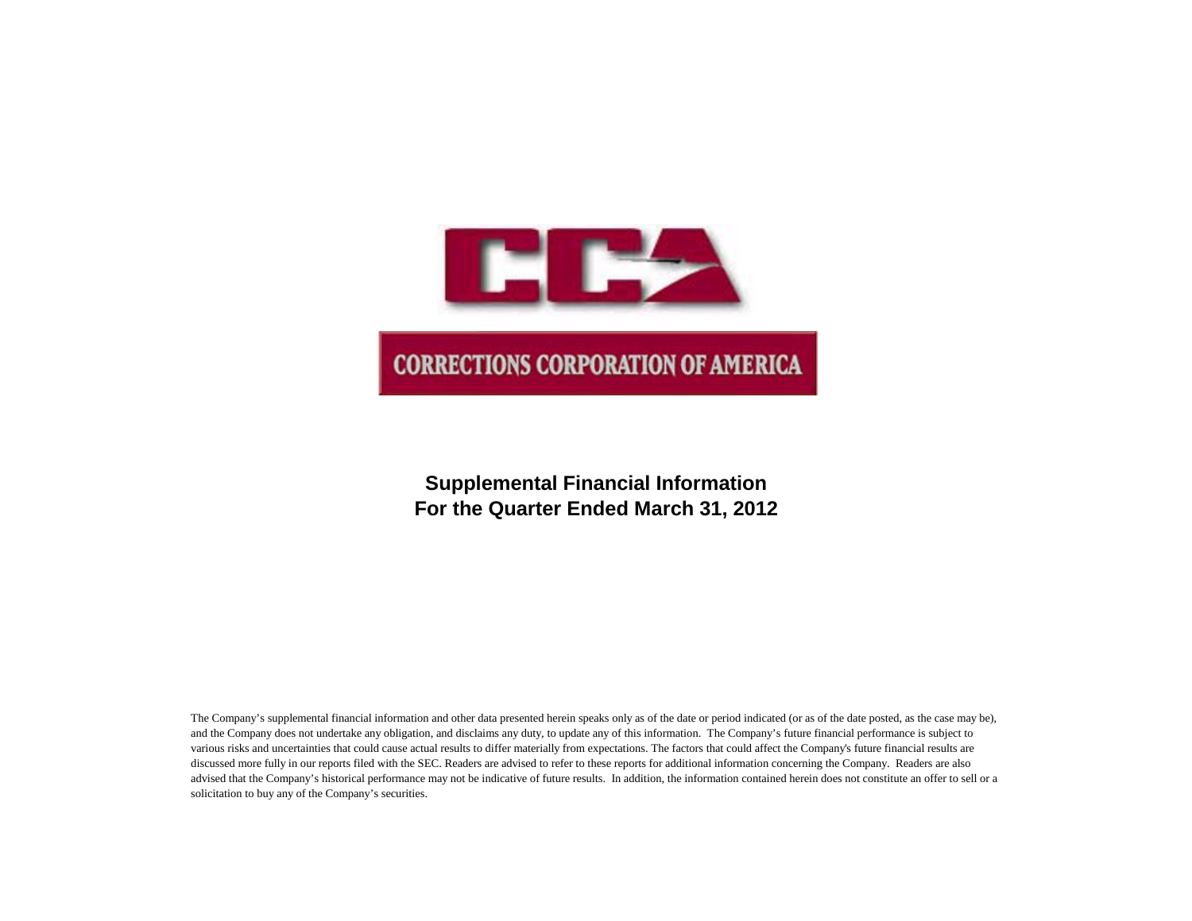

# **Supplemental Financial Information For the Quarter Ended March 31, 2012**

The Company's supplemental financial information and other data presented herein speaks only as of the date or period indicated (or as of the date posted, as the case may be), and the Company does not undertake any obligation, and disclaims any duty, to update any of this information. The Company's future financial performance is subject to various risks and uncertainties that could cause actual results to differ materially from expectations. The factors that could affect the Company's future financial results are discussed more fully in our reports filed with the SEC. Readers are advised to refer to these reports for additional information concerning the Company. Readers are also advised that the Company's historical performance may not be indicative of future results. In addition, the information contained herein does not constitute an offer to sell or a solicitation to buy any of the Company's securities.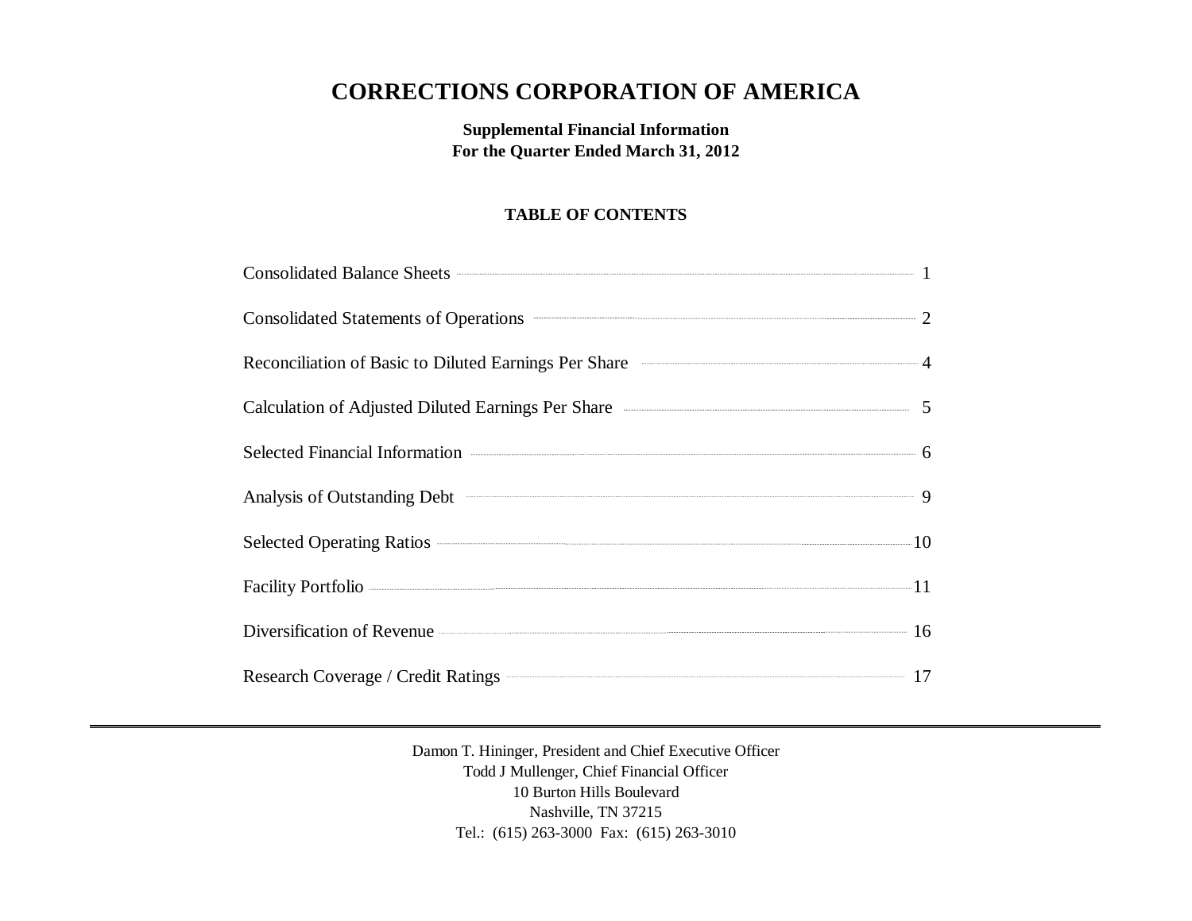# **CORRECTIONS CORPORATION OF AMERICA**

**Supplemental Financial Information For the Quarter Ended March 31, 2012**

# **TABLE OF CONTENTS**

| Consolidated Balance Sheets <b>Consolidated</b> Balance Sheets <b>Consolidated</b> Balance Sheets <b>Consolidated</b> Balance Sheets <b>Consolidated</b> Balance Sheets <b>Consolidated</b> Balance Sheets <b>Consolidated</b> Balance Sheets <b>Consolidated</b> |  |
|-------------------------------------------------------------------------------------------------------------------------------------------------------------------------------------------------------------------------------------------------------------------|--|
| Consolidated Statements of Operations <b>CONSUMER 2</b>                                                                                                                                                                                                           |  |
| Reconciliation of Basic to Diluted Earnings Per Share 4                                                                                                                                                                                                           |  |
| Calculation of Adjusted Diluted Earnings Per Share <b>Calculation</b> of Adjusted Diluted Earnings Per Share                                                                                                                                                      |  |
| Selected Financial Information <b>Contact Selected</b> Financial Information 6                                                                                                                                                                                    |  |
| Analysis of Outstanding Debt 9                                                                                                                                                                                                                                    |  |
|                                                                                                                                                                                                                                                                   |  |
| Facility Portfolio <b>communications</b> 11                                                                                                                                                                                                                       |  |
| Diversification of Revenue 16                                                                                                                                                                                                                                     |  |
| Research Coverage / Credit Ratings 27 17                                                                                                                                                                                                                          |  |

Damon T. Hininger, President and Chief Executive Officer Todd J Mullenger, Chief Financial Officer 10 Burton Hills Boulevard Nashville, TN 37215 Tel.: (615) 263-3000 Fax: (615) 263-3010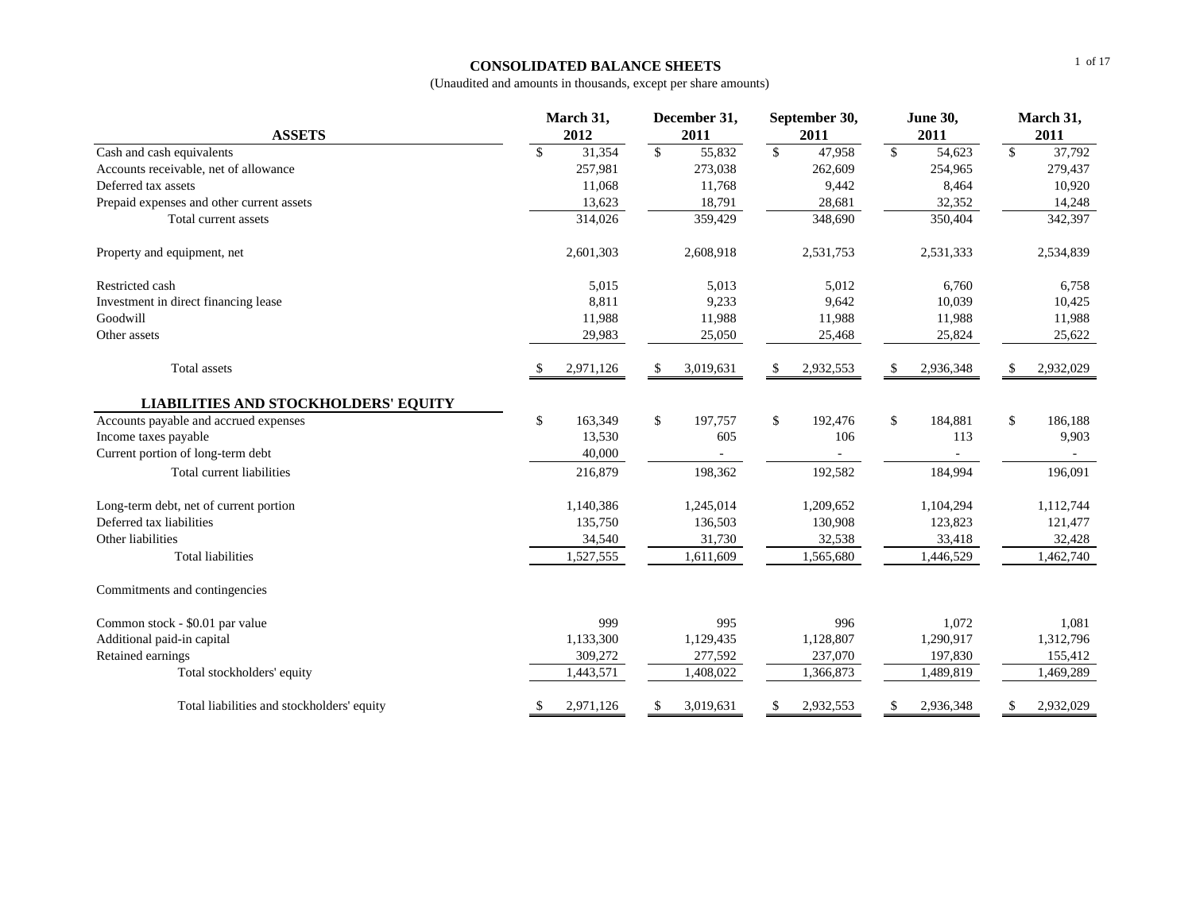#### **CONSOLIDATED BALANCE SHEETS**

|                                             |    | March 31, |            | December 31, |              | September 30, |                          | <b>June 30,</b> |    | March 31, |  |
|---------------------------------------------|----|-----------|------------|--------------|--------------|---------------|--------------------------|-----------------|----|-----------|--|
| <b>ASSETS</b>                               |    | 2012      |            | 2011         |              | 2011          |                          | 2011            |    | 2011      |  |
| Cash and cash equivalents                   | \$ | 31,354    | $\sqrt{3}$ | 55,832       | $\mathbb{S}$ | 47,958        | $\overline{\mathcal{S}}$ | 54,623          | \$ | 37,792    |  |
| Accounts receivable, net of allowance       |    | 257,981   |            | 273,038      |              | 262,609       |                          | 254,965         |    | 279,437   |  |
| Deferred tax assets                         |    | 11,068    |            | 11,768       |              | 9,442         |                          | 8,464           |    | 10,920    |  |
| Prepaid expenses and other current assets   |    | 13,623    |            | 18,791       |              | 28,681        |                          | 32,352          |    | 14,248    |  |
| Total current assets                        |    | 314,026   |            | 359,429      |              | 348,690       |                          | 350,404         |    | 342,397   |  |
| Property and equipment, net                 |    | 2,601,303 |            | 2,608,918    |              | 2,531,753     |                          | 2,531,333       |    | 2,534,839 |  |
| Restricted cash                             |    | 5,015     |            | 5,013        |              | 5,012         |                          | 6,760           |    | 6,758     |  |
| Investment in direct financing lease        |    | 8,811     |            | 9,233        |              | 9,642         |                          | 10,039          |    | 10,425    |  |
| Goodwill                                    |    | 11,988    |            | 11,988       |              | 11,988        |                          | 11,988          |    | 11,988    |  |
| Other assets                                |    | 29,983    |            | 25,050       |              | 25,468        |                          | 25,824          |    | 25,622    |  |
| <b>Total</b> assets                         |    | 2,971,126 | \$.        | 3,019,631    |              | 2,932,553     |                          | 2,936,348       |    | 2,932,029 |  |
| <b>LIABILITIES AND STOCKHOLDERS' EQUITY</b> |    |           |            |              |              |               |                          |                 |    |           |  |
| Accounts payable and accrued expenses       | \$ | 163,349   | \$         | 197,757      | \$           | 192,476       | \$                       | 184,881         | \$ | 186,188   |  |
| Income taxes payable                        |    | 13,530    |            | 605          |              | 106           |                          | 113             |    | 9,903     |  |
| Current portion of long-term debt           |    | 40,000    |            |              |              |               |                          |                 |    |           |  |
| Total current liabilities                   |    | 216,879   |            | 198,362      |              | 192,582       |                          | 184,994         |    | 196,091   |  |
| Long-term debt, net of current portion      |    | 1,140,386 |            | 1,245,014    |              | 1,209,652     |                          | 1,104,294       |    | 1,112,744 |  |
| Deferred tax liabilities                    |    | 135,750   |            | 136,503      |              | 130,908       |                          | 123,823         |    | 121,477   |  |
| Other liabilities                           |    | 34,540    |            | 31,730       |              | 32,538        |                          | 33,418          |    | 32,428    |  |
| <b>Total liabilities</b>                    |    | 1,527,555 |            | 1,611,609    |              | 1,565,680     |                          | 1,446,529       |    | 1,462,740 |  |
| Commitments and contingencies               |    |           |            |              |              |               |                          |                 |    |           |  |
| Common stock - \$0.01 par value             |    | 999       |            | 995          |              | 996           |                          | 1,072           |    | 1,081     |  |
| Additional paid-in capital                  |    | 1,133,300 |            | 1,129,435    |              | 1,128,807     |                          | 1,290,917       |    | 1,312,796 |  |
| Retained earnings                           |    | 309,272   |            | 277,592      |              | 237,070       |                          | 197,830         |    | 155,412   |  |
| Total stockholders' equity                  |    | 1,443,571 |            | 1,408,022    |              | 1,366,873     |                          | 1,489,819       |    | 1,469,289 |  |
| Total liabilities and stockholders' equity  | \$ | 2,971,126 | S          | 3,019,631    |              | 2,932,553     |                          | 2,936,348       | S  | 2,932,029 |  |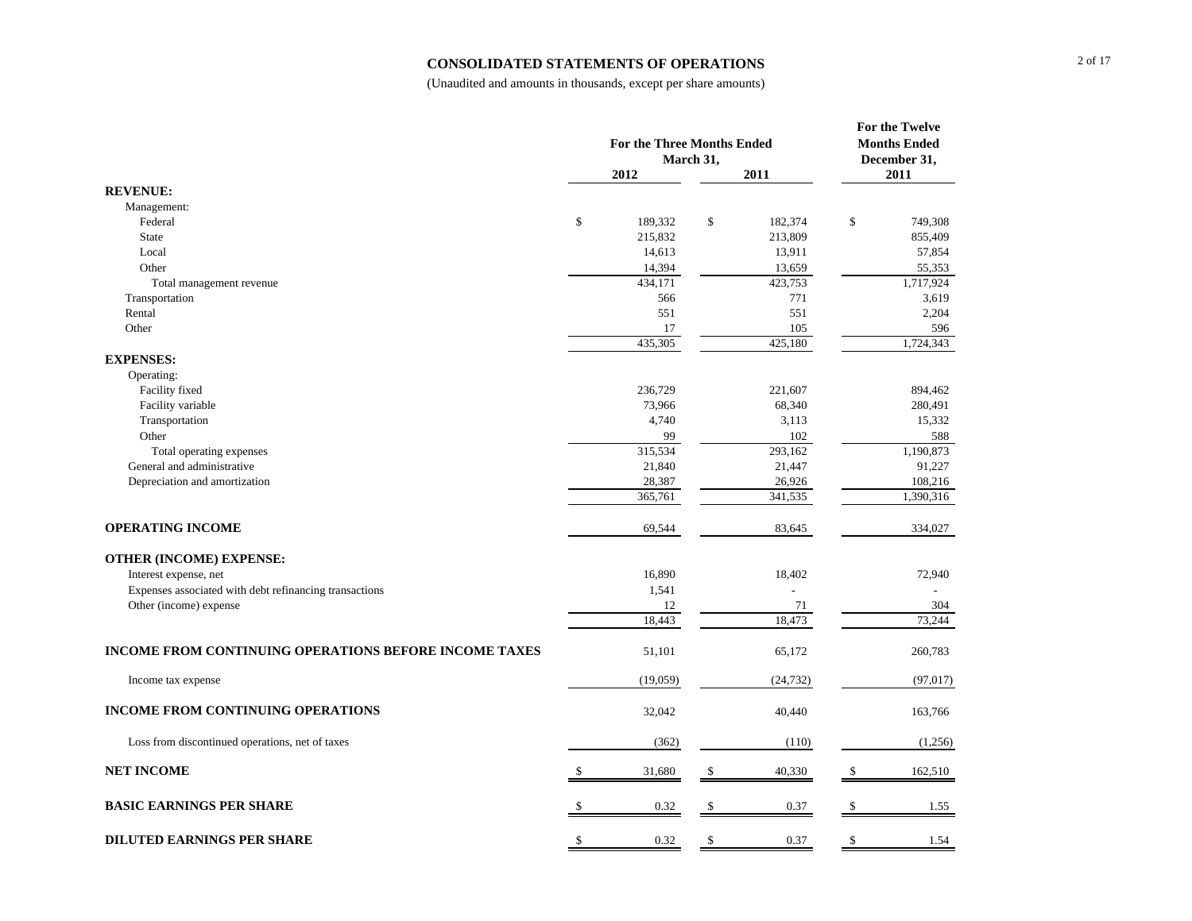#### **CONSOLIDATED STATEMENTS OF OPERATIONS**

|                                                        | <b>For the Three Months Ended</b><br>March 31, |    | For the Twelve<br><b>Months Ended</b><br>December 31, |    |           |
|--------------------------------------------------------|------------------------------------------------|----|-------------------------------------------------------|----|-----------|
|                                                        | 2012                                           |    | 2011                                                  |    | 2011      |
| <b>REVENUE:</b>                                        |                                                |    |                                                       |    |           |
| Management:                                            |                                                |    |                                                       |    |           |
| Federal                                                | \$<br>189,332                                  | \$ | 182,374                                               | \$ | 749,308   |
| <b>State</b>                                           | 215,832                                        |    | 213,809                                               |    | 855,409   |
| Local                                                  | 14,613                                         |    | 13,911                                                |    | 57,854    |
| Other                                                  | 14,394                                         |    | 13,659                                                |    | 55,353    |
| Total management revenue                               | 434,171                                        |    | 423,753                                               |    | 1,717,924 |
| Transportation                                         | 566                                            |    | 771                                                   |    | 3,619     |
| Rental                                                 | 551                                            |    | 551                                                   |    | 2,204     |
| Other                                                  | 17                                             |    | 105                                                   |    | 596       |
|                                                        | 435,305                                        |    | 425,180                                               |    | 1,724,343 |
| <b>EXPENSES:</b>                                       |                                                |    |                                                       |    |           |
| Operating:                                             |                                                |    |                                                       |    |           |
| Facility fixed                                         | 236,729                                        |    | 221,607                                               |    | 894,462   |
| Facility variable                                      | 73,966                                         |    | 68,340                                                |    | 280,491   |
| Transportation                                         | 4,740                                          |    | 3,113                                                 |    | 15,332    |
| Other                                                  | 99                                             |    | 102                                                   |    | 588       |
| Total operating expenses                               | 315,534                                        |    | 293,162                                               |    | 1,190,873 |
| General and administrative                             | 21,840                                         |    | 21,447                                                |    | 91,227    |
| Depreciation and amortization                          | 28,387                                         |    | 26,926                                                |    | 108,216   |
|                                                        | 365,761                                        |    | 341,535                                               |    | 1,390,316 |
| <b>OPERATING INCOME</b>                                | 69,544                                         |    | 83,645                                                |    | 334,027   |
| <b>OTHER (INCOME) EXPENSE:</b>                         |                                                |    |                                                       |    |           |
| Interest expense, net                                  | 16,890                                         |    | 18,402                                                |    | 72,940    |
| Expenses associated with debt refinancing transactions | 1,541                                          |    |                                                       |    |           |
| Other (income) expense                                 | 12                                             |    | 71                                                    |    | 304       |
|                                                        | 18,443                                         |    | 18,473                                                |    | 73,244    |
| INCOME FROM CONTINUING OPERATIONS BEFORE INCOME TAXES  | 51,101                                         |    | 65,172                                                |    | 260,783   |
| Income tax expense                                     | (19,059)                                       |    | (24, 732)                                             |    | (97, 017) |
| <b>INCOME FROM CONTINUING OPERATIONS</b>               | 32,042                                         |    | 40,440                                                |    | 163,766   |
| Loss from discontinued operations, net of taxes        | (362)                                          |    | (110)                                                 |    | (1,256)   |
| <b>NET INCOME</b>                                      | 31,680                                         | \$ | 40,330                                                | \$ | 162,510   |
| <b>BASIC EARNINGS PER SHARE</b>                        | 0.32                                           | \$ | 0.37                                                  | \$ | 1.55      |
| <b>DILUTED EARNINGS PER SHARE</b>                      | \$<br>0.32                                     | \$ | 0.37                                                  | \$ | 1.54      |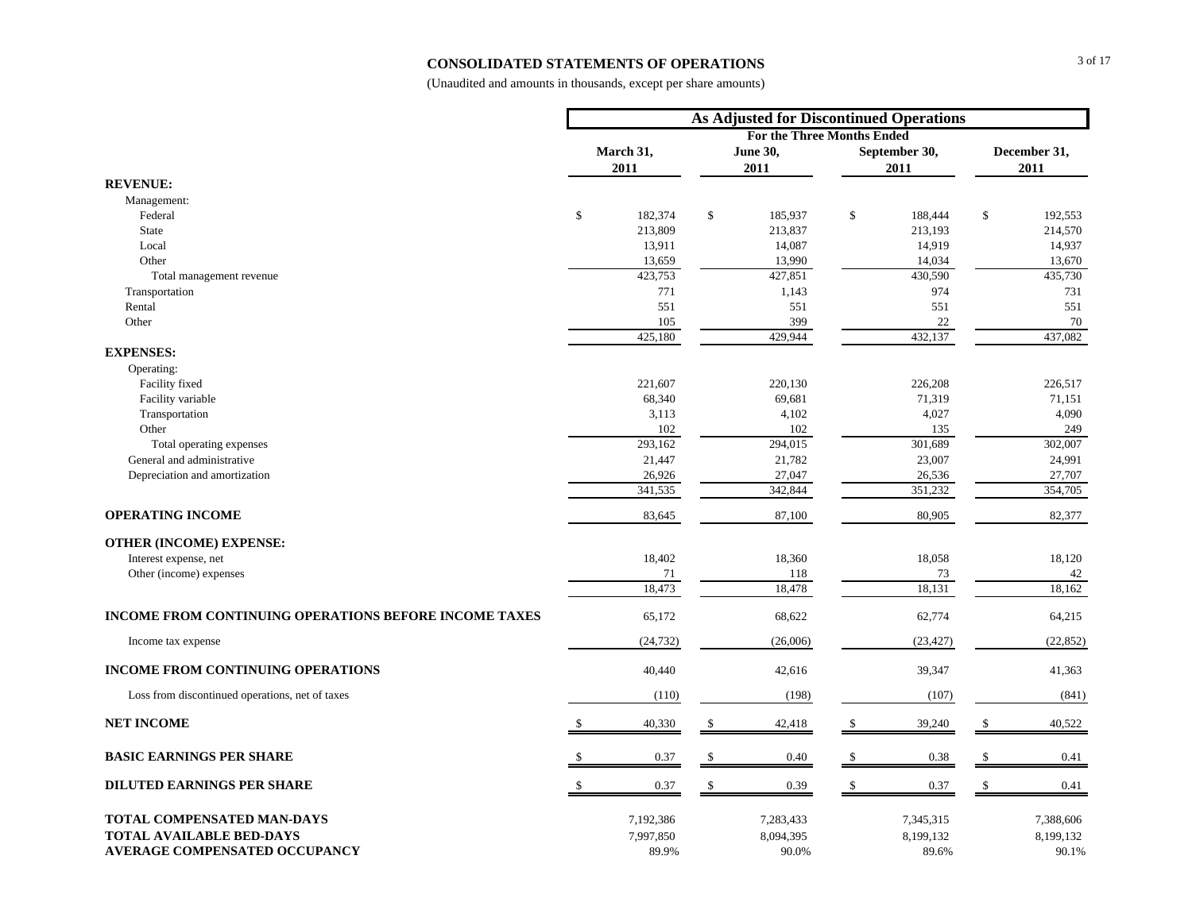#### **CONSOLIDATED STATEMENTS OF OPERATIONS**

|                                                              | <b>As Adjusted for Discontinued Operations</b> |                    |    |                                   |               |                       |                      |                    |  |
|--------------------------------------------------------------|------------------------------------------------|--------------------|----|-----------------------------------|---------------|-----------------------|----------------------|--------------------|--|
|                                                              |                                                |                    |    | <b>For the Three Months Ended</b> |               |                       |                      |                    |  |
|                                                              |                                                | March 31,<br>2011  |    | <b>June 30,</b><br>2011           |               | September 30,<br>2011 | December 31,<br>2011 |                    |  |
| <b>REVENUE:</b>                                              |                                                |                    |    |                                   |               |                       |                      |                    |  |
| Management:                                                  |                                                |                    |    |                                   |               |                       |                      |                    |  |
| Federal                                                      | $\mathcal{S}$                                  | 182,374            | \$ | 185,937                           | \$            | 188,444               | $\mathbb{S}$         | 192,553            |  |
| <b>State</b>                                                 |                                                | 213,809            |    | 213,837                           |               | 213,193               |                      | 214,570            |  |
| Local                                                        |                                                | 13,911             |    | 14,087                            |               | 14,919                |                      | 14,937             |  |
| Other                                                        |                                                | 13,659             |    | 13,990                            |               | 14,034                |                      | 13,670             |  |
| Total management revenue                                     |                                                | 423,753            |    | 427,851                           |               | 430,590               |                      | 435,730            |  |
| Transportation                                               |                                                | 771                |    | 1,143                             |               | 974                   |                      | 731                |  |
| Rental                                                       |                                                | 551                |    | 551                               |               | 551                   |                      | 551                |  |
| Other                                                        |                                                | 105                |    | 399                               |               | 22                    |                      | 70                 |  |
| <b>EXPENSES:</b>                                             |                                                | 425,180            |    | 429,944                           |               | 432,137               |                      | 437,082            |  |
|                                                              |                                                |                    |    |                                   |               |                       |                      |                    |  |
| Operating:                                                   |                                                |                    |    |                                   |               |                       |                      |                    |  |
| Facility fixed                                               |                                                | 221,607            |    | 220,130                           |               | 226,208               |                      | 226,517            |  |
| Facility variable                                            |                                                | 68,340<br>3,113    |    | 69,681<br>4,102                   |               | 71,319                |                      | 71,151             |  |
| Transportation<br>Other                                      |                                                | 102                |    |                                   |               | 4,027<br>135          |                      | 4,090<br>249       |  |
|                                                              |                                                | 293,162            |    | 102<br>294,015                    |               | 301,689               |                      | 302,007            |  |
| Total operating expenses<br>General and administrative       |                                                |                    |    | 21,782                            |               | 23,007                |                      | 24,991             |  |
| Depreciation and amortization                                |                                                | 21,447<br>26,926   |    | 27,047                            |               | 26,536                |                      | 27,707             |  |
|                                                              |                                                | 341,535            |    | 342,844                           |               | 351,232               |                      | 354,705            |  |
| <b>OPERATING INCOME</b>                                      |                                                | 83,645             |    | 87,100                            |               | 80,905                |                      | 82,377             |  |
| <b>OTHER (INCOME) EXPENSE:</b>                               |                                                |                    |    |                                   |               |                       |                      |                    |  |
| Interest expense, net                                        |                                                | 18,402             |    | 18,360                            |               | 18,058                |                      | 18,120             |  |
| Other (income) expenses                                      |                                                | 71                 |    | 118                               |               | 73                    |                      | 42                 |  |
|                                                              |                                                | 18,473             |    | 18,478                            |               | 18,131                |                      | 18,162             |  |
| <b>INCOME FROM CONTINUING OPERATIONS BEFORE INCOME TAXES</b> |                                                | 65,172             |    | 68,622                            |               | 62,774                |                      | 64,215             |  |
| Income tax expense                                           |                                                | (24, 732)          |    | (26,006)                          |               | (23, 427)             |                      | (22, 852)          |  |
| <b>INCOME FROM CONTINUING OPERATIONS</b>                     |                                                | 40,440             |    | 42,616                            |               | 39,347                |                      | 41,363             |  |
| Loss from discontinued operations, net of taxes              |                                                | (110)              |    | (198)                             |               | (107)                 |                      | (841)              |  |
| <b>NET INCOME</b>                                            |                                                | 40,330             | S  | 42,418                            |               | 39,240                |                      | 40,522             |  |
| <b>BASIC EARNINGS PER SHARE</b>                              |                                                | 0.37               | \$ | 0.40                              |               | 0.38                  |                      | 0.41               |  |
| <b>DILUTED EARNINGS PER SHARE</b>                            | $\mathcal{S}$                                  | 0.37               | \$ | 0.39                              | <sup>\$</sup> | 0.37                  | S                    | 0.41               |  |
| TOTAL COMPENSATED MAN-DAYS                                   |                                                | 7,192,386          |    | 7,283,433                         |               | 7,345,315             |                      | 7,388,606          |  |
| <b>TOTAL AVAILABLE BED-DAYS</b>                              |                                                |                    |    |                                   |               |                       |                      |                    |  |
| <b>AVERAGE COMPENSATED OCCUPANCY</b>                         |                                                | 7,997,850<br>89.9% |    | 8,094,395<br>90.0%                |               | 8,199,132<br>89.6%    |                      | 8,199,132<br>90.1% |  |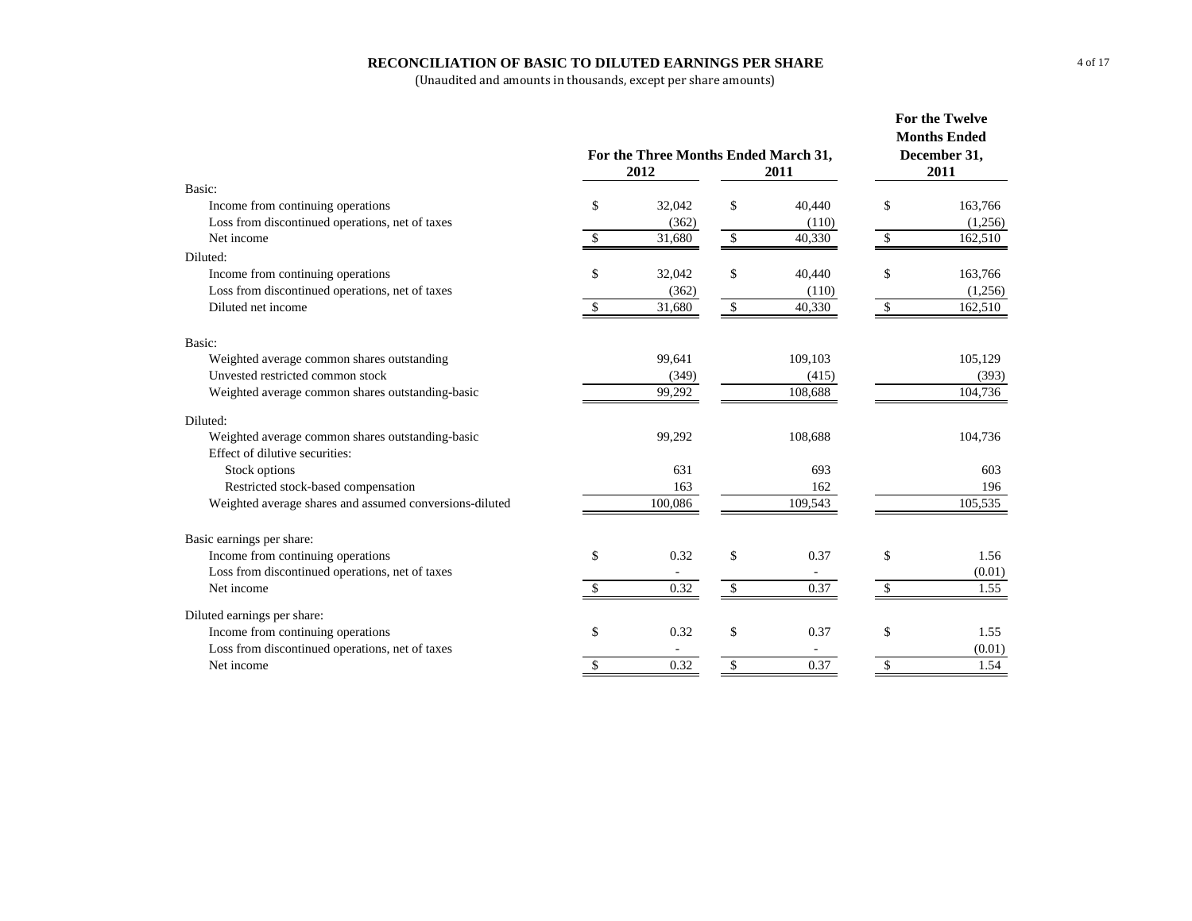#### **RECONCILIATION OF BASIC TO DILUTED EARNINGS PER SHARE**

|                                                         | For the Three Months Ended March 31,<br>2012 | <b>For the Twelve</b><br><b>Months Ended</b><br>December 31,<br>2011 |                     |               |         |
|---------------------------------------------------------|----------------------------------------------|----------------------------------------------------------------------|---------------------|---------------|---------|
| Basic:                                                  |                                              |                                                                      |                     |               |         |
| Income from continuing operations                       | \$<br>32,042                                 | \$                                                                   | 40,440              | \$            | 163,766 |
| Loss from discontinued operations, net of taxes         | (362)                                        |                                                                      | (110)               |               | (1,256) |
| Net income                                              | \$<br>31,680                                 | $\mathsf{\$}$                                                        | 40,330              | $\mathcal{S}$ | 162,510 |
| Diluted:                                                |                                              |                                                                      |                     |               |         |
| Income from continuing operations                       | \$<br>32,042                                 | \$                                                                   | 40,440              | \$            | 163,766 |
| Loss from discontinued operations, net of taxes         | (362)                                        |                                                                      | (110)               |               | (1,256) |
| Diluted net income                                      | \$<br>31,680                                 | $\mathbb{S}$                                                         | $\overline{40,330}$ | $\mathbb{S}$  | 162,510 |
| Basic:                                                  |                                              |                                                                      |                     |               |         |
| Weighted average common shares outstanding              | 99,641                                       |                                                                      | 109,103             |               | 105,129 |
| Unvested restricted common stock                        | (349)                                        |                                                                      | (415)               |               | (393)   |
| Weighted average common shares outstanding-basic        | 99,292                                       |                                                                      | 108,688             |               | 104,736 |
| Diluted:                                                |                                              |                                                                      |                     |               |         |
| Weighted average common shares outstanding-basic        | 99,292                                       |                                                                      | 108,688             |               | 104,736 |
| Effect of dilutive securities:                          |                                              |                                                                      |                     |               |         |
| Stock options                                           | 631                                          |                                                                      | 693                 |               | 603     |
| Restricted stock-based compensation                     | 163                                          |                                                                      | 162                 |               | 196     |
| Weighted average shares and assumed conversions-diluted | 100,086                                      |                                                                      | 109,543             |               | 105,535 |
| Basic earnings per share:                               |                                              |                                                                      |                     |               |         |
| Income from continuing operations                       | \$<br>0.32                                   | \$                                                                   | 0.37                | \$            | 1.56    |
| Loss from discontinued operations, net of taxes         |                                              |                                                                      |                     |               | (0.01)  |
| Net income                                              | \$<br>0.32                                   | $\mathbb{S}$                                                         | 0.37                | S.            | 1.55    |
| Diluted earnings per share:                             |                                              |                                                                      |                     |               |         |
| Income from continuing operations                       | \$<br>0.32                                   | \$                                                                   | 0.37                | \$            | 1.55    |
| Loss from discontinued operations, net of taxes         |                                              |                                                                      |                     |               | (0.01)  |
| Net income                                              | \$<br>0.32                                   | \$                                                                   | 0.37                | \$            | 1.54    |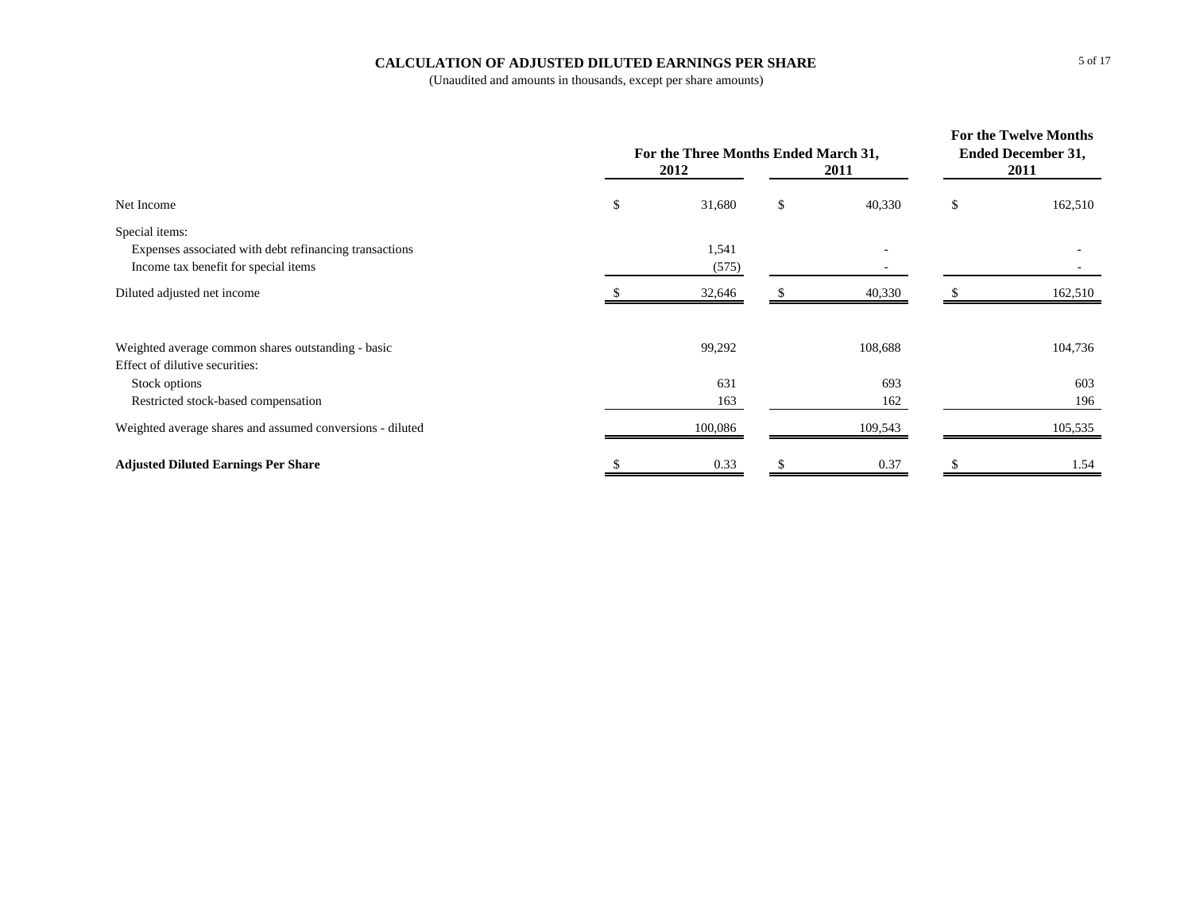#### **CALCULATION OF ADJUSTED DILUTED EARNINGS PER SHARE**

|                                                           | For the Three Months Ended March 31,<br>2012 | <b>For the Twelve Months</b><br><b>Ended December 31,</b><br>2011 |              |    |         |
|-----------------------------------------------------------|----------------------------------------------|-------------------------------------------------------------------|--------------|----|---------|
| Net Income                                                | \$                                           | 31,680                                                            | \$<br>40,330 | \$ | 162,510 |
| Special items:                                            |                                              |                                                                   |              |    |         |
| Expenses associated with debt refinancing transactions    |                                              | 1,541                                                             |              |    |         |
| Income tax benefit for special items                      |                                              | (575)                                                             |              |    |         |
| Diluted adjusted net income                               |                                              | 32,646                                                            | 40,330       |    | 162,510 |
| Weighted average common shares outstanding - basic        |                                              | 99,292                                                            | 108,688      |    | 104,736 |
| Effect of dilutive securities:                            |                                              |                                                                   |              |    |         |
| Stock options                                             |                                              | 631                                                               | 693          |    | 603     |
| Restricted stock-based compensation                       |                                              | 163                                                               | 162          |    | 196     |
| Weighted average shares and assumed conversions - diluted |                                              | 100,086                                                           | 109,543      |    | 105,535 |
| <b>Adjusted Diluted Earnings Per Share</b>                |                                              | 0.33                                                              | 0.37         |    | 1.54    |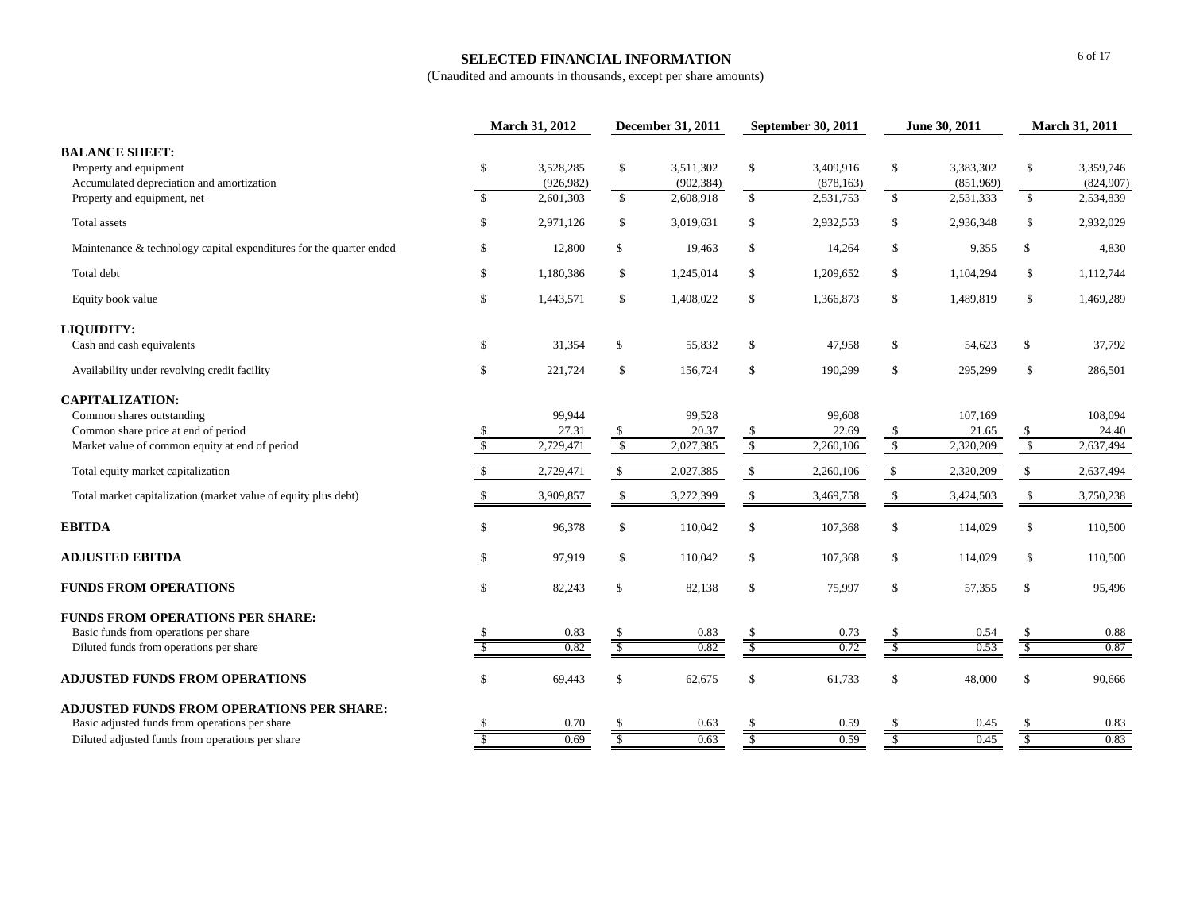#### **SELECTED FINANCIAL INFORMATION**

|                                                                                                                             | March 31, 2012     |                                      | December 31, 2011              |                                      | September 30, 2011              |                                      | June 30, 2011         |                                     | March 31, 2011           |                                     |
|-----------------------------------------------------------------------------------------------------------------------------|--------------------|--------------------------------------|--------------------------------|--------------------------------------|---------------------------------|--------------------------------------|-----------------------|-------------------------------------|--------------------------|-------------------------------------|
| <b>BALANCE SHEET:</b><br>Property and equipment<br>Accumulated depreciation and amortization<br>Property and equipment, net | \$<br>$\mathbb{S}$ | 3,528,285<br>(926, 982)<br>2,601,303 | $\mathbb{S}$<br>$\mathbb{S}$   | 3,511,302<br>(902, 384)<br>2,608,918 | \$<br>$\mathbb{S}$              | 3.409.916<br>(878, 163)<br>2,531,753 | \$<br>$\mathbb{S}$    | 3,383,302<br>(851,969)<br>2,531,333 | \$<br>$\mathbb{S}$       | 3.359.746<br>(824,907)<br>2,534,839 |
| Total assets                                                                                                                | \$                 | 2,971,126                            | \$                             | 3,019,631                            | \$                              | 2,932,553                            | \$                    | 2,936,348                           | \$                       | 2,932,029                           |
| Maintenance & technology capital expenditures for the quarter ended                                                         | \$                 | 12,800                               | $\mathbb{S}$                   | 19,463                               | \$                              | 14,264                               | \$                    | 9,355                               | \$                       | 4,830                               |
| Total debt                                                                                                                  | \$                 | 1,180,386                            | \$                             | 1,245,014                            | \$                              | 1,209,652                            | \$                    | 1,104,294                           | \$                       | 1,112,744                           |
| Equity book value                                                                                                           | $\mathbb{S}$       | 1,443,571                            | \$                             | 1,408,022                            | \$                              | 1,366,873                            | \$                    | 1,489,819                           | \$                       | 1,469,289                           |
| <b>LIQUIDITY:</b>                                                                                                           |                    |                                      |                                |                                      |                                 |                                      |                       |                                     |                          |                                     |
| Cash and cash equivalents                                                                                                   | \$                 | 31,354                               | $\mathbb{S}$                   | 55,832                               | \$                              | 47,958                               | \$                    | 54.623                              | $\mathbb{S}$             | 37,792                              |
| Availability under revolving credit facility                                                                                | \$                 | 221,724                              | \$                             | 156,724                              | \$                              | 190,299                              | \$                    | 295,299                             | \$                       | 286,501                             |
| <b>CAPITALIZATION:</b><br>Common shares outstanding                                                                         |                    | 99,944                               |                                | 99,528                               |                                 | 99,608                               |                       | 107,169                             |                          | 108,094<br>24.40                    |
| Common share price at end of period<br>Market value of common equity at end of period                                       | \$<br>$\sqrt{3}$   | 27.31<br>2,729,471                   | $\mathcal{S}$<br>$\mathcal{S}$ | 20.37<br>2,027,385                   | $\mathbb{S}$<br>$\overline{\$}$ | 22.69<br>2,260,106                   | \$<br>$\overline{\$}$ | 21.65<br>2,320,209                  | \$<br>$\sqrt{2}$         | 2,637,494                           |
|                                                                                                                             |                    |                                      |                                |                                      |                                 |                                      |                       |                                     |                          |                                     |
| Total equity market capitalization                                                                                          | $\mathbb{S}$       | 2,729,471                            | $\mathbb{S}$                   | 2,027,385                            | $\mathbb{S}$                    | 2,260,106                            | $\mathbb{S}$          | 2,320,209                           | $\mathbb{S}$             | 2,637,494                           |
| Total market capitalization (market value of equity plus debt)                                                              |                    | 3,909,857                            | \$                             | 3,272,399                            | \$                              | 3,469,758                            | $\mathbb{S}$          | 3,424,503                           | \$                       | 3,750,238                           |
| <b>EBITDA</b>                                                                                                               | $\mathbb{S}$       | 96,378                               | \$                             | 110,042                              | \$                              | 107,368                              | \$                    | 114,029                             | $\mathbb S$              | 110,500                             |
| <b>ADJUSTED EBITDA</b>                                                                                                      | \$                 | 97,919                               | \$                             | 110,042                              | \$                              | 107,368                              | \$                    | 114,029                             | \$                       | 110,500                             |
| <b>FUNDS FROM OPERATIONS</b>                                                                                                | $\mathbb{S}$       | 82,243                               | $\mathcal{S}$                  | 82,138                               | $\mathbb S$                     | 75,997                               | \$                    | 57,355                              | $\mathbb{S}$             | 95,496                              |
| <b>FUNDS FROM OPERATIONS PER SHARE:</b><br>Basic funds from operations per share                                            |                    | 0.83                                 | <sup>\$</sup>                  | 0.83                                 |                                 | 0.73                                 | <sup>\$</sup>         | 0.54                                | -S                       | 0.88                                |
| Diluted funds from operations per share                                                                                     |                    | 0.82                                 | $\overline{\mathcal{S}}$       | 0.82                                 | $\overline{\mathcal{S}}$        | 0.72                                 | -S                    | 0.53                                | $\overline{\mathcal{S}}$ | 0.87                                |
| <b>ADJUSTED FUNDS FROM OPERATIONS</b>                                                                                       | \$                 | 69,443                               | \$                             | 62,675                               | \$                              | 61,733                               | $\mathbb S$           | 48,000                              | $\mathbb S$              | 90,666                              |
| <b>ADJUSTED FUNDS FROM OPERATIONS PER SHARE:</b><br>Basic adjusted funds from operations per share                          |                    | 0.70                                 | <sup>\$</sup>                  | 0.63                                 | -S                              | 0.59                                 | <sup>\$</sup>         | 0.45                                | -S                       | 0.83                                |
| Diluted adjusted funds from operations per share                                                                            | \$                 | 0.69                                 | $\mathcal{S}$                  | 0.63                                 | S                               | 0.59                                 | $\mathcal{S}$         | 0.45                                | \$                       | 0.83                                |
|                                                                                                                             |                    |                                      |                                |                                      |                                 |                                      |                       |                                     |                          |                                     |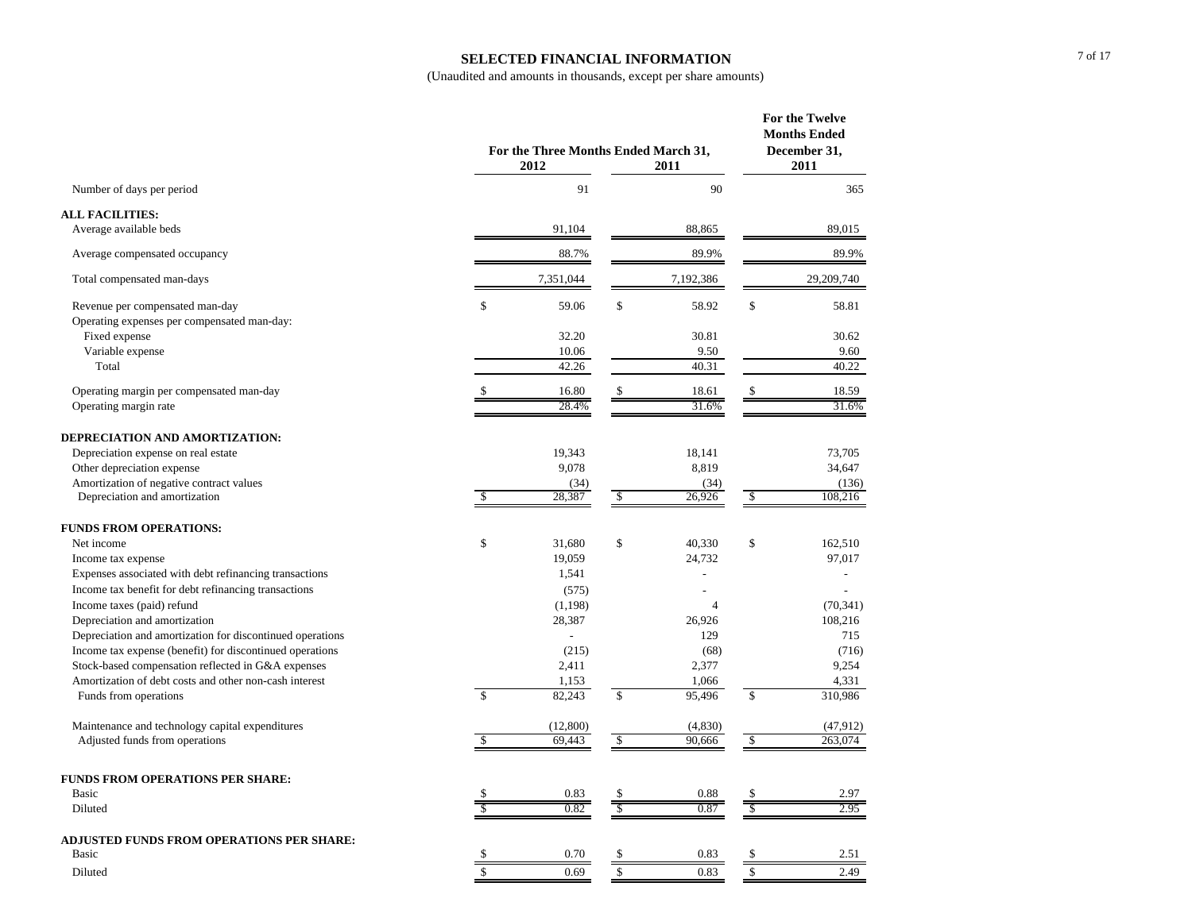#### **SELECTED FINANCIAL INFORMATION**

|                                                           | For the Three Months Ended March 31,<br>2012 | For the Twelve<br><b>Months Ended</b><br>December 31,<br>2011 |              |                |             |            |
|-----------------------------------------------------------|----------------------------------------------|---------------------------------------------------------------|--------------|----------------|-------------|------------|
| Number of days per period                                 |                                              | 91                                                            |              | 90             |             | 365        |
| <b>ALL FACILITIES:</b>                                    |                                              |                                                               |              |                |             |            |
| Average available beds                                    |                                              | 91,104                                                        |              | 88,865         |             | 89,015     |
| Average compensated occupancy                             |                                              | 88.7%                                                         |              | 89.9%          |             | 89.9%      |
| Total compensated man-days                                |                                              | 7,351,044                                                     |              | 7,192,386      |             | 29,209,740 |
| Revenue per compensated man-day                           | \$                                           | 59.06                                                         | \$           | 58.92          | \$          | 58.81      |
| Operating expenses per compensated man-day:               |                                              |                                                               |              |                |             |            |
| Fixed expense                                             |                                              | 32.20                                                         |              | 30.81          |             | 30.62      |
| Variable expense                                          |                                              | 10.06                                                         |              | 9.50           |             | 9.60       |
| Total                                                     |                                              | 42.26                                                         |              | 40.31          |             | 40.22      |
| Operating margin per compensated man-day                  |                                              | 16.80                                                         | \$           | 18.61          | \$          | 18.59      |
| Operating margin rate                                     |                                              | 28.4%                                                         |              | 31.6%          |             | 31.6%      |
| DEPRECIATION AND AMORTIZATION:                            |                                              |                                                               |              |                |             |            |
| Depreciation expense on real estate                       |                                              | 19,343                                                        |              | 18,141         |             | 73,705     |
| Other depreciation expense                                |                                              | 9,078                                                         |              | 8,819          |             | 34,647     |
| Amortization of negative contract values                  |                                              | (34)                                                          |              | (34)           |             | (136)      |
| Depreciation and amortization                             |                                              | 28,387                                                        | \$           | 26,926         | \$          | 108,216    |
| <b>FUNDS FROM OPERATIONS:</b>                             |                                              |                                                               |              |                |             |            |
| Net income                                                | \$                                           | 31,680                                                        | \$           | 40,330         | \$          | 162,510    |
| Income tax expense                                        |                                              | 19,059                                                        |              | 24,732         |             | 97,017     |
| Expenses associated with debt refinancing transactions    |                                              | 1,541                                                         |              |                |             |            |
| Income tax benefit for debt refinancing transactions      |                                              | (575)                                                         |              |                |             |            |
| Income taxes (paid) refund                                |                                              | (1,198)                                                       |              | $\overline{4}$ |             | (70, 341)  |
| Depreciation and amortization                             |                                              | 28,387                                                        |              | 26,926         |             | 108,216    |
| Depreciation and amortization for discontinued operations |                                              | $\overline{a}$                                                |              | 129            |             | 715        |
| Income tax expense (benefit) for discontinued operations  |                                              | (215)                                                         |              | (68)           |             | (716)      |
| Stock-based compensation reflected in G&A expenses        |                                              | 2,411                                                         |              | 2,377          |             | 9,254      |
| Amortization of debt costs and other non-cash interest    |                                              | 1,153                                                         |              | 1,066          |             | 4,331      |
| Funds from operations                                     | $\mathcal{S}$                                | 82,243                                                        | $\mathbb{S}$ | 95,496         | $\mathbf S$ | 310,986    |
| Maintenance and technology capital expenditures           |                                              | (12,800)                                                      |              | (4,830)        |             | (47, 912)  |
| Adjusted funds from operations                            |                                              | 69,443                                                        | \$           | 90,666         | \$          | 263,074    |
| <b>FUNDS FROM OPERATIONS PER SHARE:</b>                   |                                              |                                                               |              |                |             |            |
| <b>Basic</b>                                              |                                              | 0.83                                                          | \$           | 0.88           | \$          | 2.97       |
| Diluted                                                   |                                              | 0.82                                                          | \$           | 0.87           | S           | 2.95       |
| <b>ADJUSTED FUNDS FROM OPERATIONS PER SHARE:</b>          |                                              |                                                               |              |                |             |            |
| <b>Basic</b>                                              |                                              | 0.70                                                          | \$           | 0.83           | \$          | 2.51       |
| Diluted                                                   |                                              | 0.69                                                          | $\mathbf S$  | 0.83           | \$          | 2.49       |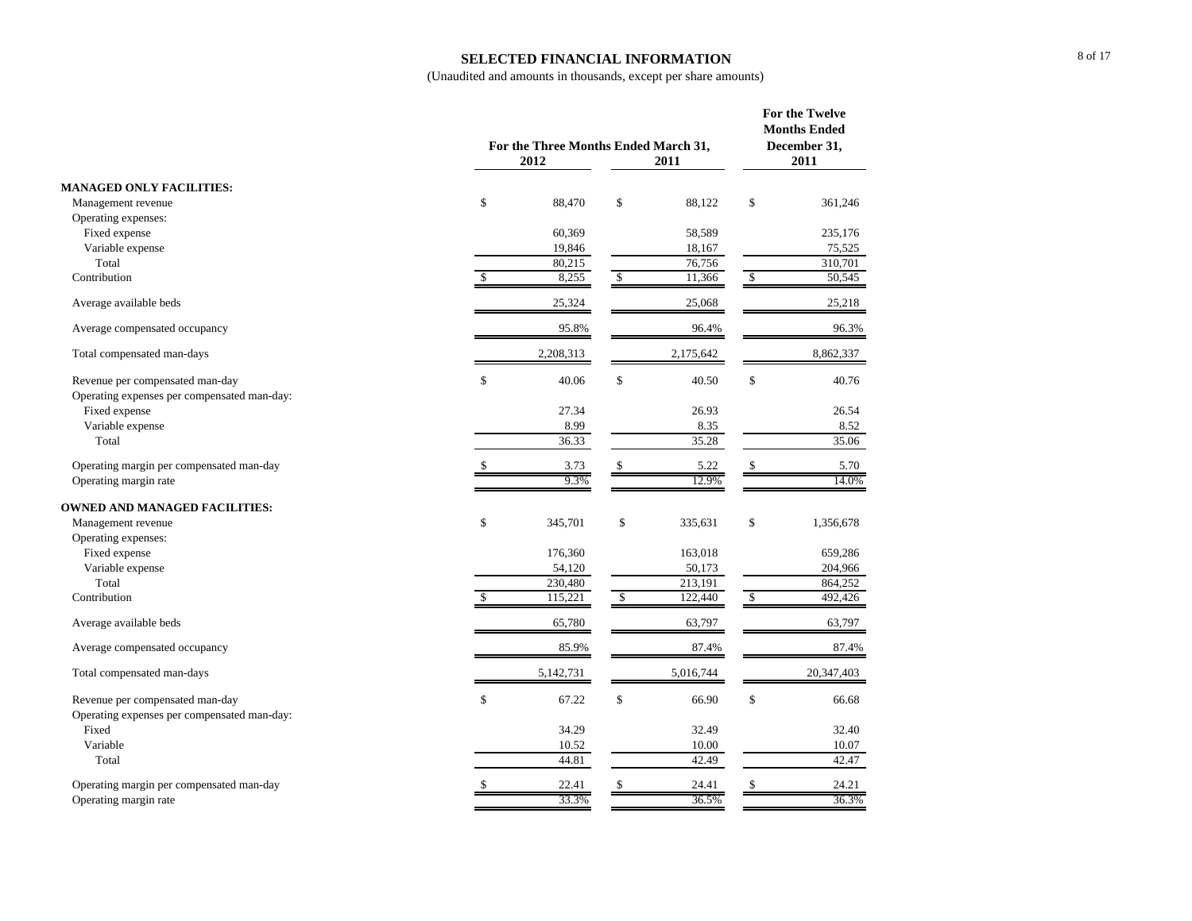#### **SELECTED FINANCIAL INFORMATION**

|                                             |               | For the Three Months Ended March 31,<br>2012 |                      |           | For the Twelve<br><b>Months Ended</b><br>December 31,<br>2011 |            |
|---------------------------------------------|---------------|----------------------------------------------|----------------------|-----------|---------------------------------------------------------------|------------|
|                                             |               |                                              |                      | 2011      |                                                               |            |
| <b>MANAGED ONLY FACILITIES:</b>             |               |                                              |                      |           |                                                               |            |
| Management revenue                          | \$            | 88,470                                       | \$                   | 88,122    | \$                                                            | 361,246    |
| Operating expenses:                         |               |                                              |                      |           |                                                               |            |
| Fixed expense                               |               | 60,369                                       |                      | 58,589    |                                                               | 235,176    |
| Variable expense                            |               | 19,846                                       |                      | 18,167    |                                                               | 75,525     |
| Total                                       |               | 80,215                                       |                      | 76,756    |                                                               | 310.701    |
| Contribution                                | $\sqrt{3}$    | 8,255                                        | $\sqrt{\frac{2}{5}}$ | 11,366    | $\mathcal{S}$                                                 | 50,545     |
| Average available beds                      |               | 25,324                                       |                      | 25,068    |                                                               | 25,218     |
| Average compensated occupancy               |               | 95.8%                                        |                      | 96.4%     |                                                               | 96.3%      |
| Total compensated man-days                  |               | 2,208,313                                    |                      | 2,175,642 |                                                               | 8,862,337  |
| Revenue per compensated man-day             | \$            | 40.06                                        | \$                   | 40.50     | \$                                                            | 40.76      |
| Operating expenses per compensated man-day: |               |                                              |                      |           |                                                               |            |
| Fixed expense                               |               | 27.34                                        |                      | 26.93     |                                                               | 26.54      |
| Variable expense                            |               | 8.99                                         |                      | 8.35      |                                                               | 8.52       |
| Total                                       |               | 36.33                                        |                      | 35.28     |                                                               | 35.06      |
| Operating margin per compensated man-day    | \$            | 3.73                                         | \$                   | 5.22      | \$                                                            | 5.70       |
| Operating margin rate                       |               | 9.3%                                         |                      | 12.9%     |                                                               | 14.0%      |
| <b>OWNED AND MANAGED FACILITIES:</b>        |               |                                              |                      |           |                                                               |            |
| Management revenue                          | \$            | 345,701                                      | \$                   | 335,631   | \$                                                            | 1,356,678  |
| Operating expenses:                         |               |                                              |                      |           |                                                               |            |
| Fixed expense                               |               | 176,360                                      |                      | 163,018   |                                                               | 659,286    |
| Variable expense                            |               | 54,120                                       |                      | 50,173    |                                                               | 204,966    |
| Total                                       |               | 230,480                                      |                      | 213,191   |                                                               | 864,252    |
| Contribution                                | <sup>\$</sup> | 115,221                                      | $\mathbb{S}$         | 122,440   | $\mathbb{S}$                                                  | 492,426    |
| Average available beds                      |               | 65,780                                       |                      | 63,797    |                                                               | 63,797     |
| Average compensated occupancy               |               | 85.9%                                        |                      | 87.4%     |                                                               | 87.4%      |
| Total compensated man-days                  |               | 5,142,731                                    |                      | 5,016,744 |                                                               | 20,347,403 |
| Revenue per compensated man-day             | \$            | 67.22                                        | \$                   | 66.90     | \$                                                            | 66.68      |
| Operating expenses per compensated man-day: |               |                                              |                      |           |                                                               |            |
| Fixed                                       |               | 34.29                                        |                      | 32.49     |                                                               | 32.40      |
| Variable                                    |               | 10.52                                        |                      | 10.00     |                                                               | 10.07      |
| Total                                       |               | 44.81                                        |                      | 42.49     |                                                               | 42.47      |
| Operating margin per compensated man-day    | \$            | 22.41                                        | \$                   | 24.41     | \$                                                            | 24.21      |
| Operating margin rate                       |               | 33.3%                                        |                      | 36.5%     |                                                               | 36.3%      |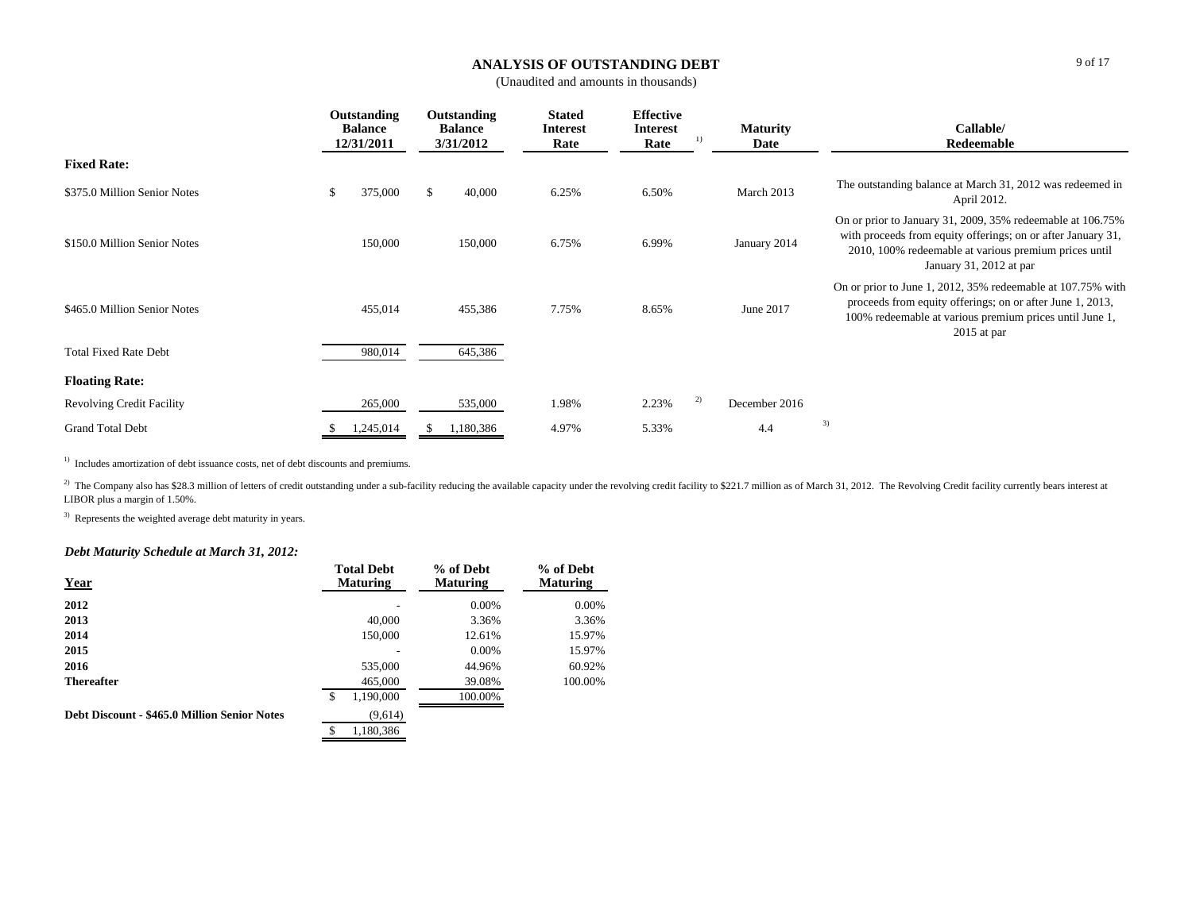#### **ANALYSIS OF OUTSTANDING DEBT**

(Unaudited and amounts in thousands)

|                                  | Outstanding<br><b>Balance</b><br>12/31/2011 | Outstanding<br><b>Balance</b><br>3/31/2012 | <b>Stated</b><br><b>Interest</b><br>Rate | <b>Effective</b><br><b>Interest</b><br>$_{1}$<br>Rate | <b>Maturity</b><br>Date | Callable/<br>Redeemable                                                                                                                                                                                        |
|----------------------------------|---------------------------------------------|--------------------------------------------|------------------------------------------|-------------------------------------------------------|-------------------------|----------------------------------------------------------------------------------------------------------------------------------------------------------------------------------------------------------------|
| <b>Fixed Rate:</b>               |                                             |                                            |                                          |                                                       |                         |                                                                                                                                                                                                                |
| \$375.0 Million Senior Notes     | 375,000<br>\$                               | -S<br>40,000                               | 6.25%                                    | 6.50%                                                 | March 2013              | The outstanding balance at March 31, 2012 was redeemed in<br>April 2012.                                                                                                                                       |
| \$150.0 Million Senior Notes     | 150,000                                     | 150,000                                    | 6.75%                                    | 6.99%                                                 | January 2014            | On or prior to January 31, 2009, 35% redeemable at 106.75%<br>with proceeds from equity offerings; on or after January 31,<br>2010, 100% redeemable at various premium prices until<br>January 31, 2012 at par |
| \$465.0 Million Senior Notes     | 455,014                                     | 455,386                                    | 7.75%                                    | 8.65%                                                 | June 2017               | On or prior to June 1, 2012, 35% redeemable at 107.75% with<br>proceeds from equity offerings; on or after June 1, 2013,<br>100% redeemable at various premium prices until June 1,<br>$2015$ at par           |
| <b>Total Fixed Rate Debt</b>     | 980,014                                     | 645,386                                    |                                          |                                                       |                         |                                                                                                                                                                                                                |
| <b>Floating Rate:</b>            |                                             |                                            |                                          |                                                       |                         |                                                                                                                                                                                                                |
| <b>Revolving Credit Facility</b> | 265,000                                     | 535,000                                    | 1.98%                                    | 2)<br>2.23%                                           | December 2016           |                                                                                                                                                                                                                |
| <b>Grand Total Debt</b>          | 1,245,014                                   | 1,180,386                                  | 4.97%                                    | 5.33%                                                 | 4.4                     | 3)                                                                                                                                                                                                             |

<sup>1)</sup> Includes amortization of debt issuance costs, net of debt discounts and premiums.

<sup>2)</sup> The Company also has \$28.3 million of letters of credit outstanding under a sub-facility reducing the available capacity under the revolving credit facility to \$221.7 million as of March 31, 2012. The Revolving Credit LIBOR plus a margin of 1.50%.

<sup>3)</sup> Represents the weighted average debt maturity in years.

### *Debt Maturity Schedule at March 31, 2012:*

| <b>Year</b>                                  | <b>Total Debt</b><br><b>Maturing</b> | % of Debt<br><b>Maturing</b> | % of Debt<br><b>Maturing</b> |
|----------------------------------------------|--------------------------------------|------------------------------|------------------------------|
| 2012                                         |                                      | 0.00%                        | $0.00\%$                     |
| 2013                                         | 40,000                               | 3.36%                        | 3.36%                        |
| 2014                                         | 150,000                              | 12.61%                       | 15.97%                       |
| 2015                                         |                                      | 0.00%                        | 15.97%                       |
| 2016                                         | 535,000                              | 44.96%                       | 60.92%                       |
| <b>Thereafter</b>                            | 465,000                              | 39.08%                       | 100.00%                      |
|                                              | S<br>1,190,000                       | 100.00%                      |                              |
| Debt Discount - \$465.0 Million Senior Notes | (9,614)                              |                              |                              |
|                                              | 1.180.386<br>\$                      |                              |                              |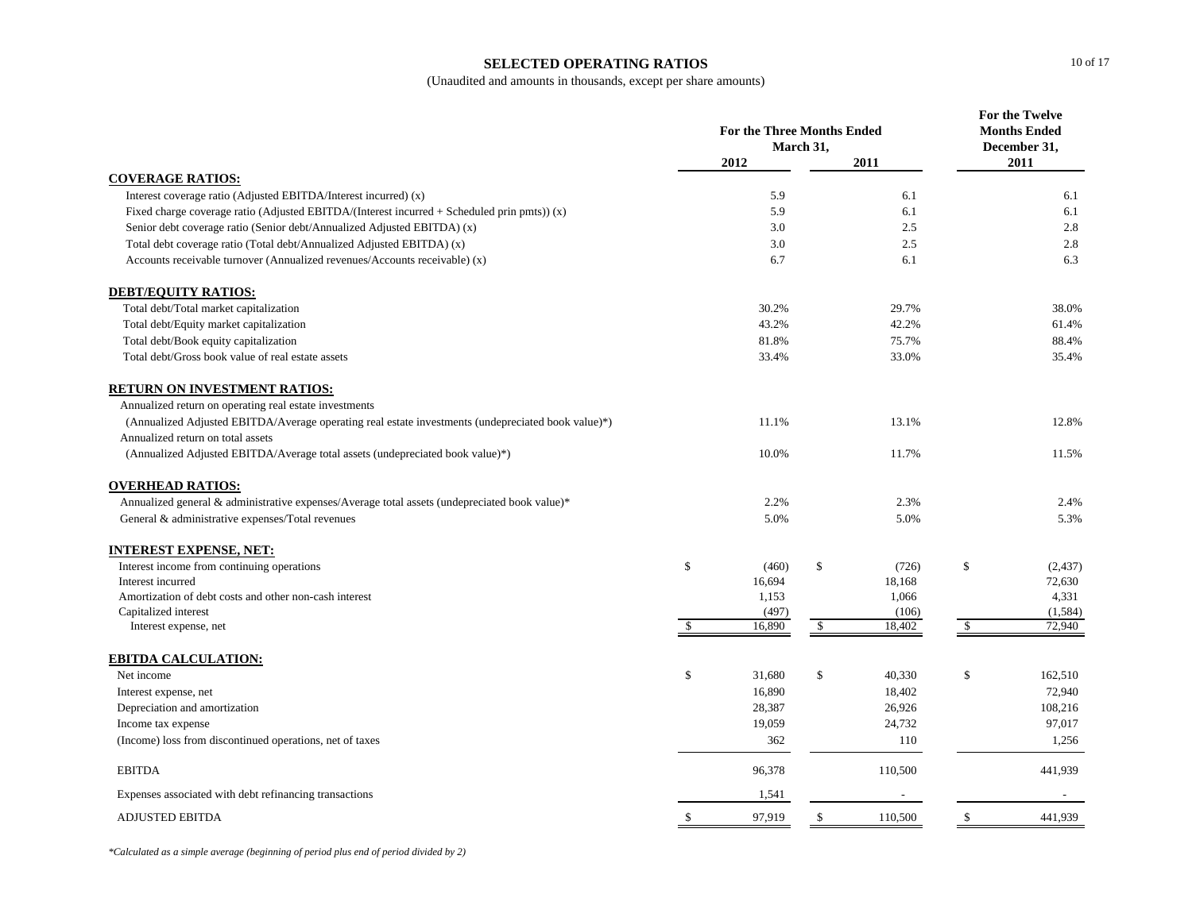#### **SELECTED OPERATING RATIOS**

(Unaudited and amounts in thousands, except per share amounts)

|                                                                                                    |              |        | <b>For the Three Months Ended</b><br>March 31, |         |               | <b>For the Twelve</b><br><b>Months Ended</b><br>December 31, |
|----------------------------------------------------------------------------------------------------|--------------|--------|------------------------------------------------|---------|---------------|--------------------------------------------------------------|
|                                                                                                    |              | 2012   |                                                | 2011    |               | 2011                                                         |
| <b>COVERAGE RATIOS:</b>                                                                            |              |        |                                                |         |               |                                                              |
| Interest coverage ratio (Adjusted EBITDA/Interest incurred) (x)                                    |              | 5.9    |                                                | 6.1     |               | 6.1                                                          |
| Fixed charge coverage ratio (Adjusted EBITDA/(Interest incurred $+$ Scheduled prin pmts)) (x)      |              | 5.9    |                                                | 6.1     |               | 6.1                                                          |
| Senior debt coverage ratio (Senior debt/Annualized Adjusted EBITDA) (x)                            |              | 3.0    |                                                | 2.5     |               | 2.8                                                          |
| Total debt coverage ratio (Total debt/Annualized Adjusted EBITDA) (x)                              |              | 3.0    |                                                | 2.5     |               | 2.8                                                          |
| Accounts receivable turnover (Annualized revenues/Accounts receivable) (x)                         |              | 6.7    |                                                | 6.1     |               | 6.3                                                          |
| <b>DEBT/EQUITY RATIOS:</b>                                                                         |              |        |                                                |         |               |                                                              |
| Total debt/Total market capitalization                                                             |              | 30.2%  |                                                | 29.7%   |               | 38.0%                                                        |
| Total debt/Equity market capitalization                                                            |              | 43.2%  |                                                | 42.2%   |               | 61.4%                                                        |
| Total debt/Book equity capitalization                                                              |              | 81.8%  |                                                | 75.7%   |               | 88.4%                                                        |
| Total debt/Gross book value of real estate assets                                                  |              | 33.4%  |                                                | 33.0%   |               | 35.4%                                                        |
| <b>RETURN ON INVESTMENT RATIOS:</b>                                                                |              |        |                                                |         |               |                                                              |
| Annualized return on operating real estate investments                                             |              |        |                                                |         |               |                                                              |
| (Annualized Adjusted EBITDA/Average operating real estate investments (undepreciated book value)*) |              | 11.1%  |                                                | 13.1%   |               | 12.8%                                                        |
| Annualized return on total assets                                                                  |              |        |                                                |         |               |                                                              |
| (Annualized Adjusted EBITDA/Average total assets (undepreciated book value)*)                      |              | 10.0%  |                                                | 11.7%   |               | 11.5%                                                        |
| <b>OVERHEAD RATIOS:</b>                                                                            |              |        |                                                |         |               |                                                              |
| Annualized general & administrative expenses/Average total assets (undepreciated book value)*      |              | 2.2%   |                                                | 2.3%    |               | 2.4%                                                         |
| General & administrative expenses/Total revenues                                                   |              | 5.0%   |                                                | 5.0%    |               | 5.3%                                                         |
| <b>INTEREST EXPENSE, NET:</b>                                                                      |              |        |                                                |         |               |                                                              |
| Interest income from continuing operations                                                         | \$           | (460)  | \$                                             | (726)   | \$            | (2, 437)                                                     |
| Interest incurred                                                                                  |              | 16,694 |                                                | 18,168  |               | 72,630                                                       |
| Amortization of debt costs and other non-cash interest                                             |              | 1,153  |                                                | 1,066   |               | 4,331                                                        |
| Capitalized interest                                                                               |              | (497)  |                                                | (106)   |               | (1, 584)                                                     |
| Interest expense, net                                                                              | $\mathbb{S}$ | 16,890 | \$                                             | 18,402  | $\mathbb{S}$  | 72,940                                                       |
| <b>EBITDA CALCULATION:</b>                                                                         |              |        |                                                |         |               |                                                              |
| Net income                                                                                         | \$           | 31,680 | \$                                             | 40,330  | <sup>\$</sup> | 162,510                                                      |
| Interest expense, net                                                                              |              | 16,890 |                                                | 18,402  |               | 72,940                                                       |
| Depreciation and amortization                                                                      |              | 28,387 |                                                | 26,926  |               | 108,216                                                      |
| Income tax expense                                                                                 |              | 19,059 |                                                | 24,732  |               | 97,017                                                       |
| (Income) loss from discontinued operations, net of taxes                                           |              | 362    |                                                | 110     |               | 1,256                                                        |
| <b>EBITDA</b>                                                                                      |              | 96,378 |                                                | 110,500 |               | 441,939                                                      |
| Expenses associated with debt refinancing transactions                                             |              | 1,541  |                                                |         |               |                                                              |
| <b>ADJUSTED EBITDA</b>                                                                             | -S           | 97,919 | -S                                             | 110,500 | -S            | 441,939                                                      |

*\*Calculated as a simple average (beginning of period plus end of period divided by 2)*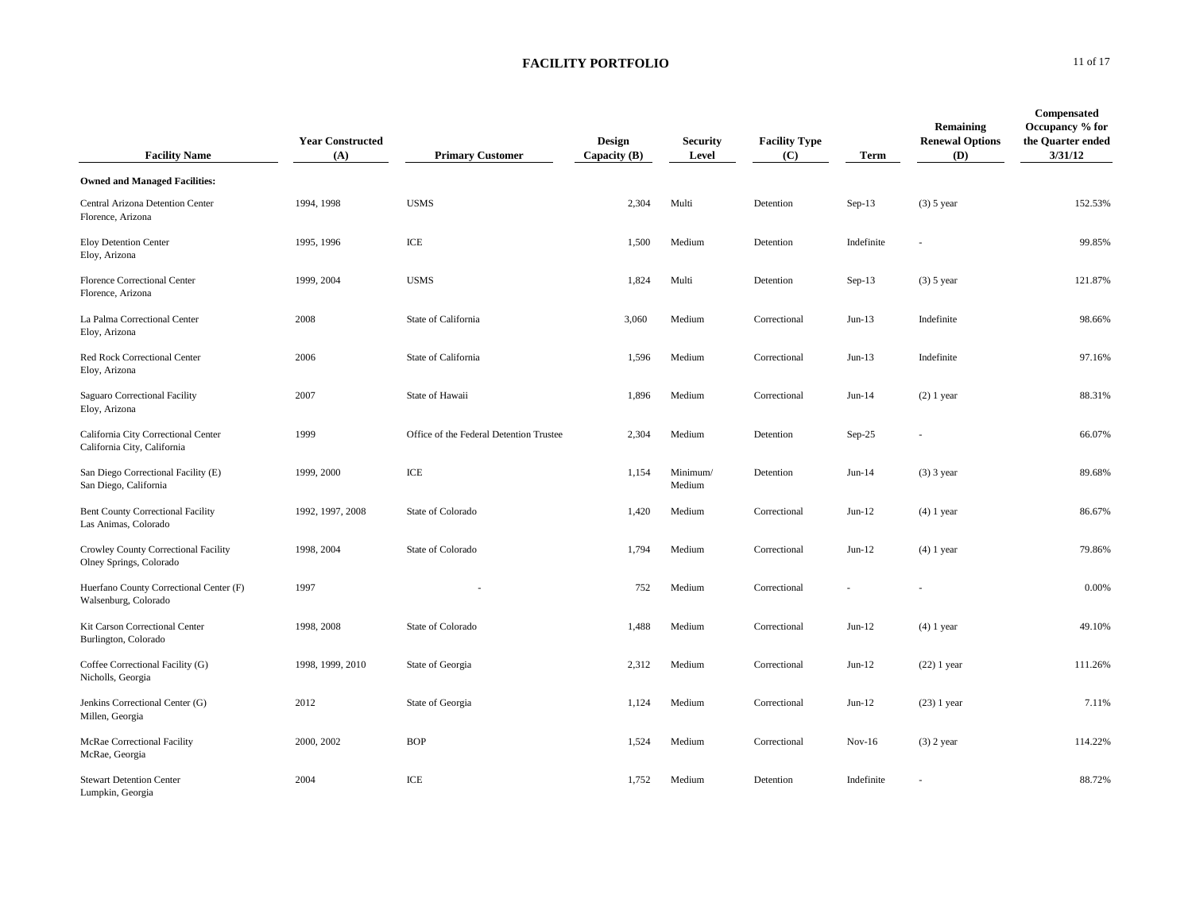| <b>Facility Name</b>                                               | <b>Year Constructed</b><br>(A) | <b>Primary Customer</b>                 | Design<br>Capacity (B) | <b>Security</b><br>Level | <b>Facility Type</b><br>(C) | Term       | Remaining<br><b>Renewal Options</b><br>(D) | Compensated<br>Occupancy % for<br>the Quarter ended<br>3/31/12 |
|--------------------------------------------------------------------|--------------------------------|-----------------------------------------|------------------------|--------------------------|-----------------------------|------------|--------------------------------------------|----------------------------------------------------------------|
| <b>Owned and Managed Facilities:</b>                               |                                |                                         |                        |                          |                             |            |                                            |                                                                |
| Central Arizona Detention Center<br>Florence, Arizona              | 1994, 1998                     | <b>USMS</b>                             | 2,304                  | Multi                    | Detention                   | $Sep-13$   | $(3)$ 5 year                               | 152.53%                                                        |
| <b>Eloy Detention Center</b><br>Eloy, Arizona                      | 1995, 1996                     | ICE                                     | 1,500                  | Medium                   | Detention                   | Indefinite |                                            | 99.85%                                                         |
| Florence Correctional Center<br>Florence, Arizona                  | 1999, 2004                     | <b>USMS</b>                             | 1,824                  | Multi                    | Detention                   | $Sep-13$   | $(3)$ 5 year                               | 121.87%                                                        |
| La Palma Correctional Center<br>Eloy, Arizona                      | 2008                           | State of California                     | 3,060                  | Medium                   | Correctional                | $Jun-13$   | Indefinite                                 | 98.66%                                                         |
| Red Rock Correctional Center<br>Eloy, Arizona                      | 2006                           | State of California                     | 1,596                  | Medium                   | Correctional                | $Jun-13$   | Indefinite                                 | 97.16%                                                         |
| Saguaro Correctional Facility<br>Eloy, Arizona                     | 2007                           | State of Hawaii                         | 1,896                  | Medium                   | Correctional                | $Jun-14$   | $(2)$ 1 year                               | 88.31%                                                         |
| California City Correctional Center<br>California City, California | 1999                           | Office of the Federal Detention Trustee | 2,304                  | Medium                   | Detention                   | $Sep-25$   |                                            | 66.07%                                                         |
| San Diego Correctional Facility (E)<br>San Diego, California       | 1999, 2000                     | ICE                                     | 1,154                  | Minimum/<br>Medium       | Detention                   | $Jun-14$   | $(3)$ 3 year                               | 89.68%                                                         |
| <b>Bent County Correctional Facility</b><br>Las Animas, Colorado   | 1992, 1997, 2008               | State of Colorado                       | 1,420                  | Medium                   | Correctional                | $Jun-12$   | $(4)$ 1 year                               | 86.67%                                                         |
| Crowley County Correctional Facility<br>Olney Springs, Colorado    | 1998, 2004                     | State of Colorado                       | 1,794                  | Medium                   | Correctional                | $Jun-12$   | $(4)$ 1 year                               | 79.86%                                                         |
| Huerfano County Correctional Center (F)<br>Walsenburg, Colorado    | 1997                           |                                         | 752                    | Medium                   | Correctional                |            |                                            | 0.00%                                                          |
| Kit Carson Correctional Center<br>Burlington, Colorado             | 1998, 2008                     | State of Colorado                       | 1,488                  | Medium                   | Correctional                | $Jun-12$   | $(4)$ 1 year                               | 49.10%                                                         |
| Coffee Correctional Facility (G)<br>Nicholls, Georgia              | 1998, 1999, 2010               | State of Georgia                        | 2,312                  | Medium                   | Correctional                | $Jun-12$   | $(22)$ 1 year                              | 111.26%                                                        |
| Jenkins Correctional Center (G)<br>Millen, Georgia                 | 2012                           | State of Georgia                        | 1,124                  | Medium                   | Correctional                | $Jun-12$   | $(23)$ 1 year                              | 7.11%                                                          |
| McRae Correctional Facility<br>McRae, Georgia                      | 2000, 2002                     | <b>BOP</b>                              | 1,524                  | Medium                   | Correctional                | $Nov-16$   | $(3)$ 2 year                               | 114.22%                                                        |
| <b>Stewart Detention Center</b><br>Lumpkin, Georgia                | 2004                           | ICE                                     | 1,752                  | Medium                   | Detention                   | Indefinite |                                            | 88.72%                                                         |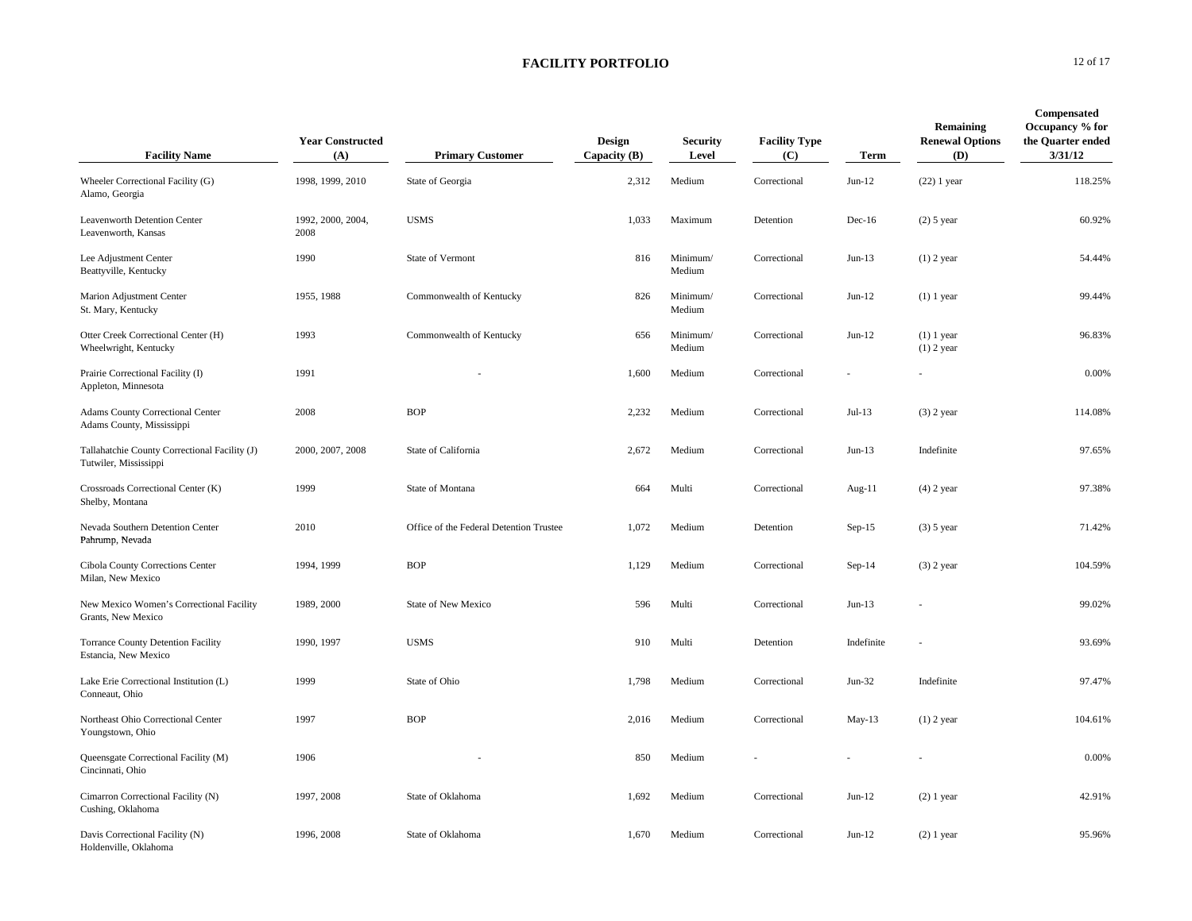| <b>Facility Name</b>                                                   | <b>Year Constructed</b><br>(A) | <b>Primary Customer</b>                 | Design<br>Capacity $(B)$ | <b>Security</b><br>Level | <b>Facility Type</b><br>(C) | Term       | Remaining<br><b>Renewal Options</b><br>(D) | Compensated<br>Occupancy % for<br>the Quarter ended<br>3/31/12 |
|------------------------------------------------------------------------|--------------------------------|-----------------------------------------|--------------------------|--------------------------|-----------------------------|------------|--------------------------------------------|----------------------------------------------------------------|
| Wheeler Correctional Facility (G)<br>Alamo, Georgia                    | 1998, 1999, 2010               | State of Georgia                        | 2,312                    | Medium                   | Correctional                | $Jun-12$   | $(22)$ 1 year                              | 118.25%                                                        |
| Leavenworth Detention Center<br>Leavenworth, Kansas                    | 1992, 2000, 2004,<br>2008      | <b>USMS</b>                             | 1,033                    | Maximum                  | Detention                   | $Dec-16$   | $(2)$ 5 year                               | 60.92%                                                         |
| Lee Adjustment Center<br>Beattyville, Kentucky                         | 1990                           | State of Vermont                        | 816                      | Minimum/<br>Medium       | Correctional                | $Jun-13$   | $(1)$ 2 year                               | 54.44%                                                         |
| Marion Adjustment Center<br>St. Mary, Kentucky                         | 1955, 1988                     | Commonwealth of Kentucky                | 826                      | Minimum/<br>Medium       | Correctional                | $Jun-12$   | $(1)$ 1 year                               | 99.44%                                                         |
| Otter Creek Correctional Center (H)<br>Wheelwright, Kentucky           | 1993                           | Commonwealth of Kentucky                | 656                      | Minimum/<br>Medium       | Correctional                | $Jun-12$   | $(1)$ 1 year<br>$(1)$ 2 year               | 96.83%                                                         |
| Prairie Correctional Facility (I)<br>Appleton, Minnesota               | 1991                           |                                         | 1,600                    | Medium                   | Correctional                |            |                                            | 0.00%                                                          |
| Adams County Correctional Center<br>Adams County, Mississippi          | 2008                           | <b>BOP</b>                              | 2,232                    | Medium                   | Correctional                | $Jul-13$   | $(3)$ 2 year                               | 114.08%                                                        |
| Tallahatchie County Correctional Facility (J)<br>Tutwiler, Mississippi | 2000, 2007, 2008               | State of California                     | 2,672                    | Medium                   | Correctional                | $Jun-13$   | Indefinite                                 | 97.65%                                                         |
| Crossroads Correctional Center (K)<br>Shelby, Montana                  | 1999                           | State of Montana                        | 664                      | Multi                    | Correctional                | Aug-11     | $(4)$ 2 year                               | 97.38%                                                         |
| Nevada Southern Detention Center<br>Pahrump, Nevada                    | 2010                           | Office of the Federal Detention Trustee | 1,072                    | Medium                   | Detention                   | $Sep-15$   | $(3)$ 5 year                               | 71.42%                                                         |
| Cibola County Corrections Center<br>Milan, New Mexico                  | 1994, 1999                     | <b>BOP</b>                              | 1,129                    | Medium                   | Correctional                | $Sep-14$   | $(3)$ 2 year                               | 104.59%                                                        |
| New Mexico Women's Correctional Facility<br>Grants, New Mexico         | 1989, 2000                     | <b>State of New Mexico</b>              | 596                      | Multi                    | Correctional                | $Jun-13$   |                                            | 99.02%                                                         |
| <b>Torrance County Detention Facility</b><br>Estancia, New Mexico      | 1990, 1997                     | <b>USMS</b>                             | 910                      | Multi                    | Detention                   | Indefinite |                                            | 93.69%                                                         |
| Lake Erie Correctional Institution (L)<br>Conneaut, Ohio               | 1999                           | State of Ohio                           | 1,798                    | Medium                   | Correctional                | $Jun-32$   | Indefinite                                 | 97.47%                                                         |
| Northeast Ohio Correctional Center<br>Youngstown, Ohio                 | 1997                           | <b>BOP</b>                              | 2,016                    | Medium                   | Correctional                | $May-13$   | $(1)$ 2 year                               | 104.61%                                                        |
| Queensgate Correctional Facility (M)<br>Cincinnati, Ohio               | 1906                           |                                         | 850                      | Medium                   |                             |            |                                            | 0.00%                                                          |
| Cimarron Correctional Facility (N)<br>Cushing, Oklahoma                | 1997, 2008                     | State of Oklahoma                       | 1,692                    | Medium                   | Correctional                | $Jun-12$   | $(2)$ 1 year                               | 42.91%                                                         |
| Davis Correctional Facility (N)<br>Holdenville, Oklahoma               | 1996, 2008                     | State of Oklahoma                       | 1,670                    | Medium                   | Correctional                | $Jun-12$   | $(2)$ 1 year                               | 95.96%                                                         |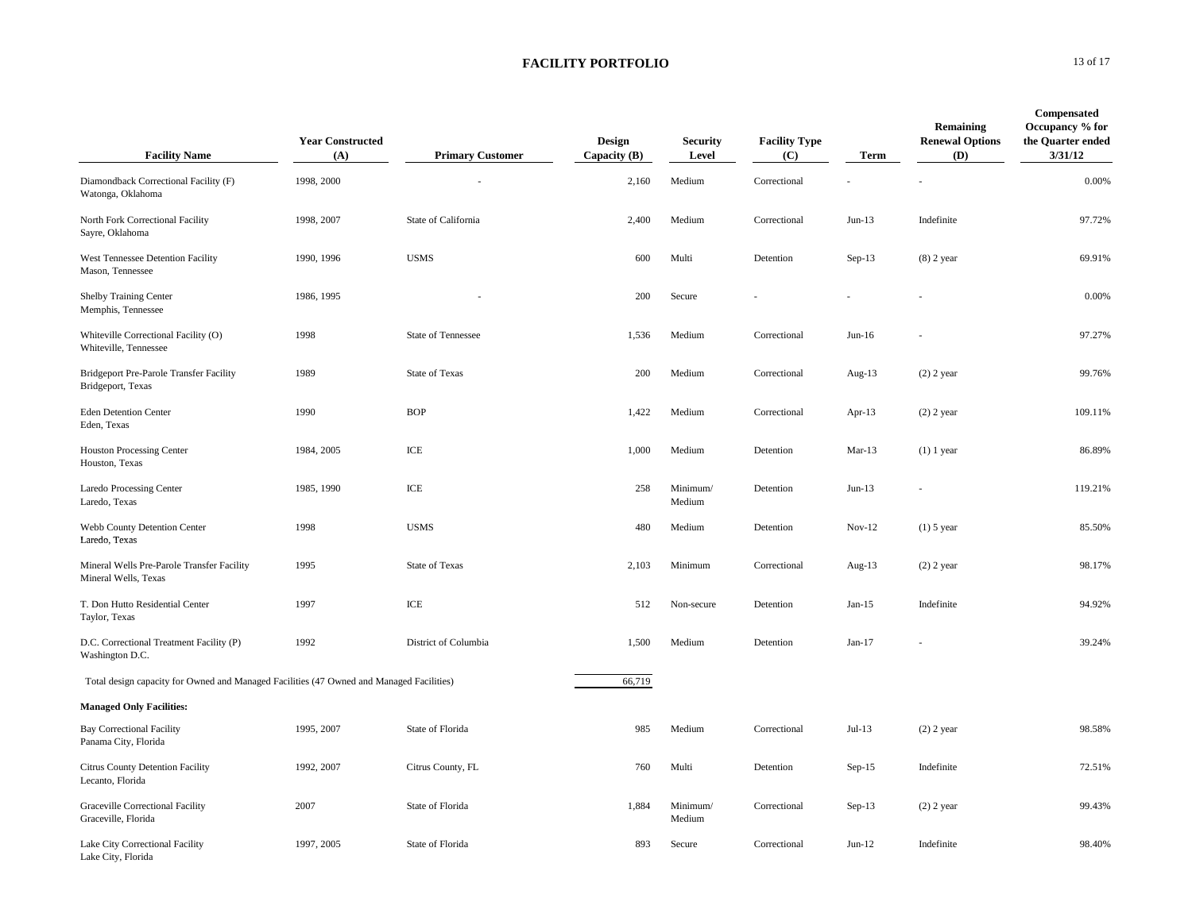| <b>Facility Name</b>                                                                     | <b>Year Constructed</b><br>(A) | <b>Primary Customer</b>   | Design<br>Capacity $(B)$ | <b>Security</b><br>Level | <b>Facility Type</b><br>(C) | Term      | Remaining<br><b>Renewal Options</b><br>(D) | Compensated<br>Occupancy % for<br>the Quarter ended<br>3/31/12 |
|------------------------------------------------------------------------------------------|--------------------------------|---------------------------|--------------------------|--------------------------|-----------------------------|-----------|--------------------------------------------|----------------------------------------------------------------|
| Diamondback Correctional Facility (F)<br>Watonga, Oklahoma                               | 1998, 2000                     |                           | 2,160                    | Medium                   | Correctional                |           |                                            | 0.00%                                                          |
| North Fork Correctional Facility<br>Sayre, Oklahoma                                      | 1998, 2007                     | State of California       | 2,400                    | Medium                   | Correctional                | $Jun-13$  | Indefinite                                 | 97.72%                                                         |
| West Tennessee Detention Facility<br>Mason, Tennessee                                    | 1990, 1996                     | <b>USMS</b>               | 600                      | Multi                    | Detention                   | $Sep-13$  | $(8)$ 2 year                               | 69.91%                                                         |
| Shelby Training Center<br>Memphis, Tennessee                                             | 1986, 1995                     |                           | 200                      | Secure                   |                             |           |                                            | 0.00%                                                          |
| Whiteville Correctional Facility (O)<br>Whiteville, Tennessee                            | 1998                           | <b>State of Tennessee</b> | 1,536                    | Medium                   | Correctional                | $Jun-16$  |                                            | 97.27%                                                         |
| Bridgeport Pre-Parole Transfer Facility<br>Bridgeport, Texas                             | 1989                           | <b>State of Texas</b>     | 200                      | Medium                   | Correctional                | Aug- $13$ | $(2)$ 2 year                               | 99.76%                                                         |
| <b>Eden Detention Center</b><br>Eden, Texas                                              | 1990                           | <b>BOP</b>                | 1,422                    | Medium                   | Correctional                | Apr-13    | $(2)$ 2 year                               | 109.11%                                                        |
| <b>Houston Processing Center</b><br>Houston, Texas                                       | 1984, 2005                     | ICE                       | 1,000                    | Medium                   | Detention                   | $Mar-13$  | $(1)$ 1 year                               | 86.89%                                                         |
| Laredo Processing Center<br>Laredo, Texas                                                | 1985, 1990                     | ICE                       | 258                      | Minimum/<br>Medium       | Detention                   | $Jun-13$  |                                            | 119.21%                                                        |
| Webb County Detention Center<br>Laredo, Texas                                            | 1998                           | <b>USMS</b>               | 480                      | Medium                   | Detention                   | $Nov-12$  | $(1)$ 5 year                               | 85.50%                                                         |
| Mineral Wells Pre-Parole Transfer Facility<br>Mineral Wells, Texas                       | 1995                           | State of Texas            | 2,103                    | Minimum                  | Correctional                | Aug- $13$ | $(2)$ 2 year                               | 98.17%                                                         |
| T. Don Hutto Residential Center<br>Taylor, Texas                                         | 1997                           | ICE                       | 512                      | Non-secure               | Detention                   | $Jan-15$  | Indefinite                                 | 94.92%                                                         |
| D.C. Correctional Treatment Facility (P)<br>Washington D.C.                              | 1992                           | District of Columbia      | 1,500                    | Medium                   | Detention                   | $Jan-17$  |                                            | 39.24%                                                         |
| Total design capacity for Owned and Managed Facilities (47 Owned and Managed Facilities) |                                |                           | 66,719                   |                          |                             |           |                                            |                                                                |
| <b>Managed Only Facilities:</b>                                                          |                                |                           |                          |                          |                             |           |                                            |                                                                |
| <b>Bay Correctional Facility</b><br>Panama City, Florida                                 | 1995, 2007                     | State of Florida          | 985                      | Medium                   | Correctional                | $Jul-13$  | $(2)$ 2 year                               | 98.58%                                                         |
| Citrus County Detention Facility<br>Lecanto, Florida                                     | 1992, 2007                     | Citrus County, FL         | 760                      | Multi                    | Detention                   | $Sep-15$  | Indefinite                                 | 72.51%                                                         |
| Graceville Correctional Facility<br>Graceville, Florida                                  | 2007                           | State of Florida          | 1,884                    | Minimum/<br>Medium       | Correctional                | $Sep-13$  | $(2)$ 2 year                               | 99.43%                                                         |
| Lake City Correctional Facility<br>Lake City, Florida                                    | 1997, 2005                     | State of Florida          | 893                      | Secure                   | Correctional                | $Jun-12$  | Indefinite                                 | 98.40%                                                         |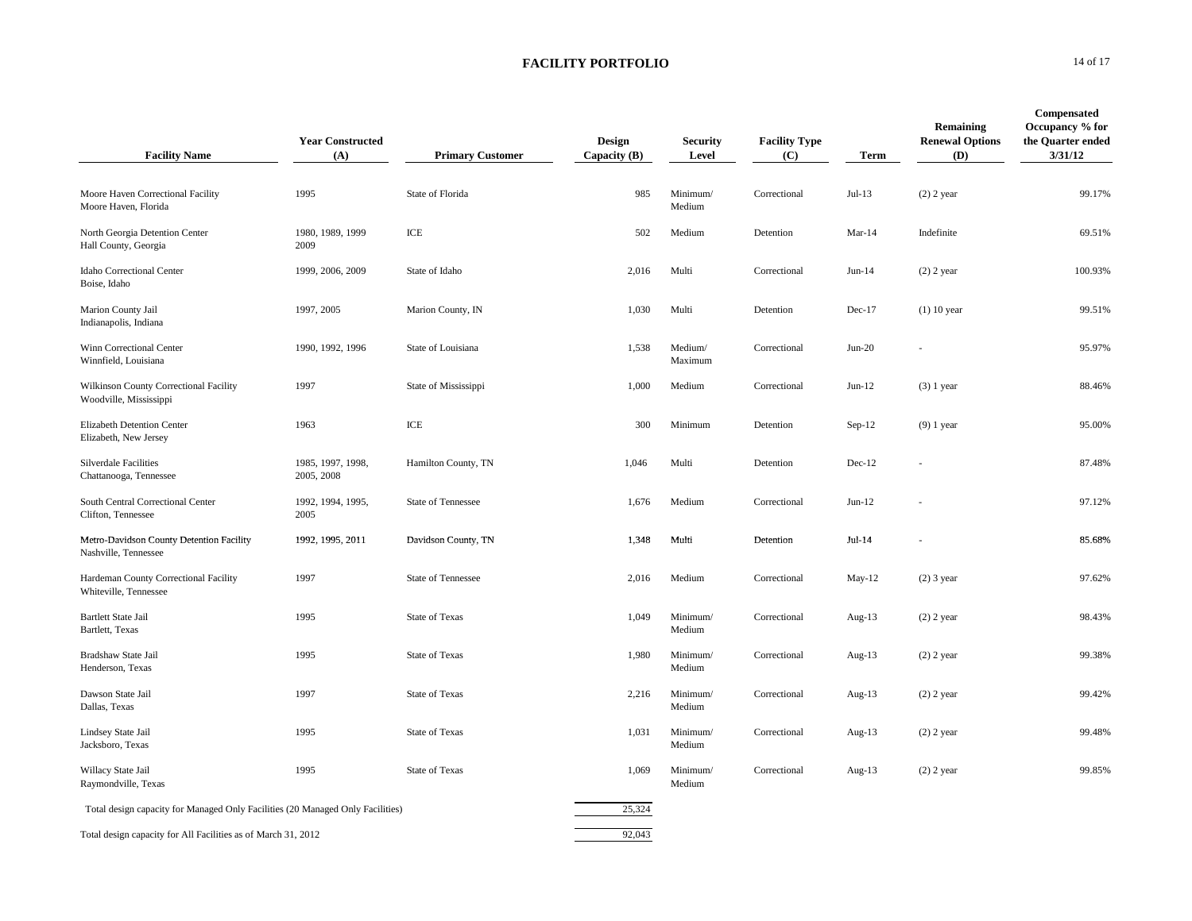| <b>Facility Name</b>                                                           | <b>Year Constructed</b><br>(A)  | <b>Primary Customer</b>   | Design<br>Capacity (B) | <b>Security</b><br>Level | <b>Facility Type</b><br>(C) | Term      | Remaining<br><b>Renewal Options</b><br>(D) | Compensated<br>Occupancy % for<br>the Quarter ended<br>3/31/12 |
|--------------------------------------------------------------------------------|---------------------------------|---------------------------|------------------------|--------------------------|-----------------------------|-----------|--------------------------------------------|----------------------------------------------------------------|
| Moore Haven Correctional Facility<br>Moore Haven, Florida                      | 1995                            | State of Florida          | 985                    | Minimum/<br>Medium       | Correctional                | $Jul-13$  | $(2)$ 2 year                               | 99.17%                                                         |
| North Georgia Detention Center<br>Hall County, Georgia                         | 1980, 1989, 1999<br>2009        | ICE                       | 502                    | Medium                   | Detention                   | $Mar-14$  | Indefinite                                 | 69.51%                                                         |
| Idaho Correctional Center<br>Boise, Idaho                                      | 1999, 2006, 2009                | State of Idaho            | 2,016                  | Multi                    | Correctional                | $Jun-14$  | $(2)$ 2 year                               | 100.93%                                                        |
| Marion County Jail<br>Indianapolis, Indiana                                    | 1997, 2005                      | Marion County, IN         | 1,030                  | Multi                    | Detention                   | $Dec-17$  | $(1)$ 10 year                              | 99.51%                                                         |
| Winn Correctional Center<br>Winnfield, Louisiana                               | 1990, 1992, 1996                | State of Louisiana        | 1,538                  | Medium/<br>Maximum       | Correctional                | $Jun-20$  |                                            | 95.97%                                                         |
| Wilkinson County Correctional Facility<br>Woodville, Mississippi               | 1997                            | State of Mississippi      | 1,000                  | Medium                   | Correctional                | $Jun-12$  | $(3)$ 1 year                               | 88.46%                                                         |
| Elizabeth Detention Center<br>Elizabeth, New Jersey                            | 1963                            | ICE                       | 300                    | Minimum                  | Detention                   | $Sep-12$  | $(9)$ 1 year                               | 95.00%                                                         |
| <b>Silverdale Facilities</b><br>Chattanooga, Tennessee                         | 1985, 1997, 1998,<br>2005, 2008 | Hamilton County, TN       | 1,046                  | Multi                    | Detention                   | $Dec-12$  |                                            | 87.48%                                                         |
| South Central Correctional Center<br>Clifton, Tennessee                        | 1992, 1994, 1995,<br>2005       | <b>State of Tennessee</b> | 1,676                  | Medium                   | Correctional                | $Jun-12$  |                                            | 97.12%                                                         |
| Metro-Davidson County Detention Facility<br>Nashville, Tennessee               | 1992, 1995, 2011                | Davidson County, TN       | 1,348                  | Multi                    | Detention                   | $Jul-14$  |                                            | 85.68%                                                         |
| Hardeman County Correctional Facility<br>Whiteville, Tennessee                 | 1997                            | <b>State of Tennessee</b> | 2,016                  | Medium                   | Correctional                | $May-12$  | $(2)$ 3 year                               | 97.62%                                                         |
| <b>Bartlett State Jail</b><br>Bartlett, Texas                                  | 1995                            | <b>State of Texas</b>     | 1,049                  | Minimum/<br>Medium       | Correctional                | Aug- $13$ | $(2)$ 2 year                               | 98.43%                                                         |
| Bradshaw State Jail<br>Henderson, Texas                                        | 1995                            | <b>State of Texas</b>     | 1,980                  | Minimum/<br>Medium       | Correctional                | Aug- $13$ | $(2)$ 2 year                               | 99.38%                                                         |
| Dawson State Jail<br>Dallas, Texas                                             | 1997                            | <b>State of Texas</b>     | 2,216                  | Minimum/<br>Medium       | Correctional                | Aug- $13$ | $(2)$ 2 year                               | 99.42%                                                         |
| Lindsey State Jail<br>Jacksboro, Texas                                         | 1995                            | <b>State of Texas</b>     | 1,031                  | Minimum/<br>Medium       | Correctional                | Aug- $13$ | $(2)$ 2 year                               | 99.48%                                                         |
| Willacy State Jail<br>Raymondville, Texas                                      | 1995                            | <b>State of Texas</b>     | 1,069                  | Minimum/<br>Medium       | Correctional                | Aug- $13$ | $(2)$ 2 year                               | 99.85%                                                         |
| Total design capacity for Managed Only Facilities (20 Managed Only Facilities) |                                 |                           | 25,324                 |                          |                             |           |                                            |                                                                |
| Total design capacity for All Facilities as of March 31, 2012                  |                                 |                           | 92,043                 |                          |                             |           |                                            |                                                                |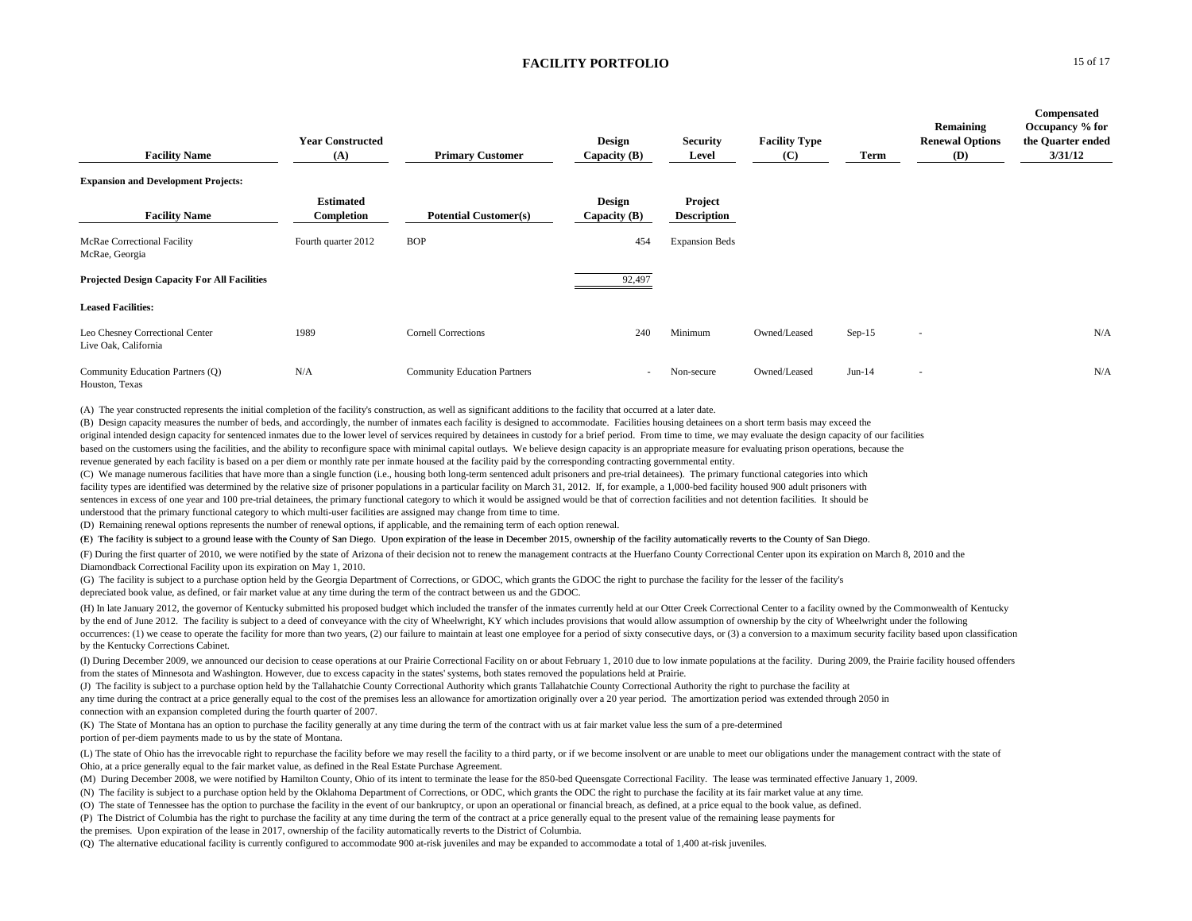| <b>Facility Name</b>                                    | <b>Year Constructed</b><br>(A) | <b>Primary Customer</b>             | <b>Design</b><br>Capacity $(B)$ | <b>Security</b><br>Level      | <b>Facility Type</b><br>(C) | Term     | Remaining<br><b>Renewal Options</b><br>(D) | Compensated<br>Occupancy % for<br>the Quarter ended<br>3/31/12 |
|---------------------------------------------------------|--------------------------------|-------------------------------------|---------------------------------|-------------------------------|-----------------------------|----------|--------------------------------------------|----------------------------------------------------------------|
| <b>Expansion and Development Projects:</b>              |                                |                                     |                                 |                               |                             |          |                                            |                                                                |
| <b>Facility Name</b>                                    | <b>Estimated</b><br>Completion | <b>Potential Customer(s)</b>        | <b>Design</b><br>Capacity $(B)$ | Project<br><b>Description</b> |                             |          |                                            |                                                                |
| McRae Correctional Facility<br>McRae, Georgia           | Fourth quarter 2012            | <b>BOP</b>                          | 454                             | <b>Expansion Beds</b>         |                             |          |                                            |                                                                |
| <b>Projected Design Capacity For All Facilities</b>     |                                |                                     | 92,497                          |                               |                             |          |                                            |                                                                |
| <b>Leased Facilities:</b>                               |                                |                                     |                                 |                               |                             |          |                                            |                                                                |
| Leo Chesney Correctional Center<br>Live Oak, California | 1989                           | <b>Cornell Corrections</b>          | 240                             | Minimum                       | Owned/Leased                | $Sep-15$ | . .                                        | N/A                                                            |
| Community Education Partners (Q)<br>Houston, Texas      | N/A                            | <b>Community Education Partners</b> | $\sim$                          | Non-secure                    | Owned/Leased                | $Jun-14$ | $\sim$                                     | N/A                                                            |

(A) The year constructed represents the initial completion of the facility's construction, as well as significant additions to the facility that occurred at a later date.

(B) Design capacity measures the number of beds, and accordingly, the number of inmates each facility is designed to accommodate. Facilities housing detainees on a short term basis may exceed the

original intended design capacity for sentenced inmates due to the lower level of services required by detainees in custody for a brief period. From time to time, we may evaluate the design capacity of our facilities

based on the customers using the facilities, and the ability to reconfigure space with minimal capital outlays. We believe design capacity is an appropriate measure for evaluating prison operations, because the revenue generated by each facility is based on a per diem or monthly rate per inmate housed at the facility paid by the corresponding contracting governmental entity.

(C) We manage numerous facilities that have more than a single function (i.e., housing both long-term sentenced adult prisoners and pre-trial detainees). The primary functional categories into which facility types are identified was determined by the relative size of prisoner populations in a particular facility on March 31, 2012. If, for example, a 1,000-bed facility housed 900 adult prisoners with sentences in excess of one year and 100 pre-trial detainees, the primary functional category to which it would be assigned would be that of correction facilities and not detention facilities. It should be understood that the primary functional category to which multi-user facilities are assigned may change from time to time.

(D) Remaining renewal options represents the number of renewal options, if applicable, and the remaining term of each option renewal.

(E) The facility is subject to a ground lease with the County of San Diego. Upon expiration of the lease in December 2015, ownership of the facility automatically reverts to the County of San Diego.

(F) During the first quarter of 2010, we were notified by the state of Arizona of their decision not to renew the management contracts at the Huerfano County Correctional Center upon its expiration on March 8, 2010 and the Diamondback Correctional Facility upon its expiration on May 1, 2010.

(G) The facility is subject to a purchase option held by the Georgia Department of Corrections, or GDOC, which grants the GDOC the right to purchase the facility for the lesser of the facility's depreciated book value, as defined, or fair market value at any time during the term of the contract between us and the GDOC.

(H) In late January 2012, the governor of Kentucky submitted his proposed budget which included the transfer of the inmates currently held at our Otter Creek Correctional Center to a facility owned by the Commonwealth of K by the end of June 2012. The facility is subject to a deed of conveyance with the city of Wheelwright, KY which includes provisions that would allow assumption of ownership by the city of Wheelwright under the following occurrences: (1) we cease to operate the facility for more than two years, (2) our failure to maintain at least one employee for a period of sixty consecutive days, or (3) a conversion to a maximum security facility based by the Kentucky Corrections Cabinet.

(I) During December 2009, we announced our decision to cease operations at our Prairie Correctional Facility on or about February 1, 2010 due to low inmate populations at the facility. During 2009, the Prairie facility hou from the states of Minnesota and Washington. However, due to excess capacity in the states' systems, both states removed the populations held at Prairie.

(J) The facility is subject to a purchase option held by the Tallahatchie County Correctional Authority which grants Tallahatchie County Correctional Authority the right to purchase the facility at

any time during the contract at a price generally equal to the cost of the premises less an allowance for amortization originally over a 20 year period. The amortization period was extended through 2050 in connection with an expansion completed during the fourth quarter of 2007.

(K) The State of Montana has an option to purchase the facility generally at any time during the term of the contract with us at fair market value less the sum of a pre-determined portion of per-diem payments made to us by the state of Montana.

(L) The state of Ohio has the irrevocable right to repurchase the facility before we may resell the facility to a third party, or if we become insolvent or are unable to meet our obligations under the management contract w Ohio, at a price generally equal to the fair market value, as defined in the Real Estate Purchase Agreement.

(M) During December 2008, we were notified by Hamilton County, Ohio of its intent to terminate the lease for the 850-bed Oueensgate Correctional Facility. The lease was terminated effective January 1, 2009.

(N) The facility is subject to a purchase option held by the Oklahoma Department of Corrections, or ODC, which grants the ODC the right to purchase the facility at its fair market value at any time.

(O) The state of Tennessee has the option to purchase the facility in the event of our bankruptcy, or upon an operational or financial breach, as defined, at a price equal to the book value, as defined.

(P) The District of Columbia has the right to purchase the facility at any time during the term of the contract at a price generally equal to the present value of the remaining lease payments for

the premises. Upon expiration of the lease in 2017, ownership of the facility automatically reverts to the District of Columbia.

(Q) The alternative educational facility is currently configured to accommodate 900 at-risk juveniles and may be expanded to accommodate a total of 1,400 at-risk juveniles.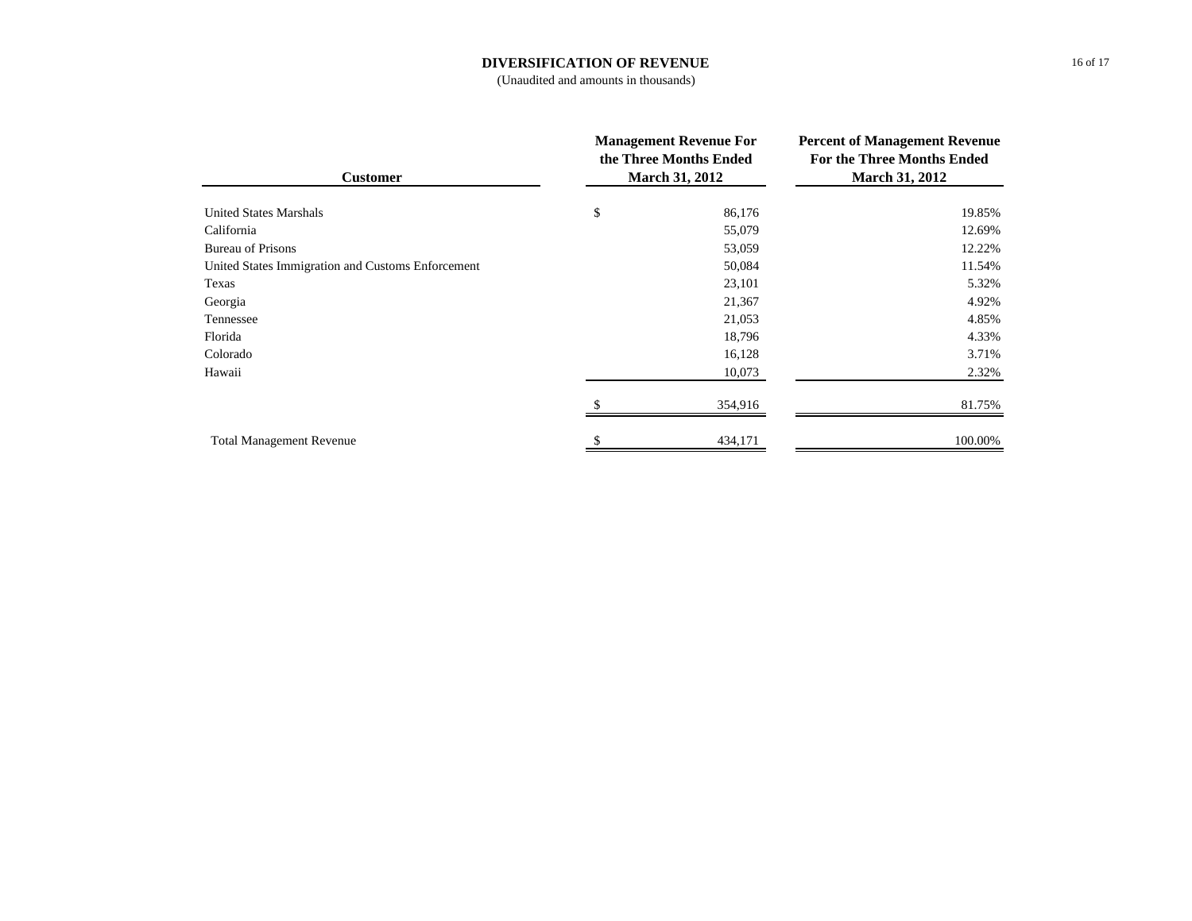# **DIVERSIFICATION OF REVENUE**

(Unaudited and amounts in thousands)

| <b>Customer</b>                                   | <b>Management Revenue For</b><br>the Three Months Ended<br><b>March 31, 2012</b> |         | <b>Percent of Management Revenue</b><br><b>For the Three Months Ended</b><br><b>March 31, 2012</b> |  |
|---------------------------------------------------|----------------------------------------------------------------------------------|---------|----------------------------------------------------------------------------------------------------|--|
| <b>United States Marshals</b>                     | \$                                                                               | 86,176  | 19.85%                                                                                             |  |
| California                                        |                                                                                  | 55,079  | 12.69%                                                                                             |  |
| <b>Bureau of Prisons</b>                          |                                                                                  | 53,059  | 12.22%                                                                                             |  |
| United States Immigration and Customs Enforcement |                                                                                  | 50,084  | 11.54%                                                                                             |  |
| Texas                                             |                                                                                  | 23,101  | 5.32%                                                                                              |  |
| Georgia                                           |                                                                                  | 21,367  | 4.92%                                                                                              |  |
| Tennessee                                         |                                                                                  | 21,053  | 4.85%                                                                                              |  |
| Florida                                           |                                                                                  | 18,796  | 4.33%                                                                                              |  |
| Colorado                                          |                                                                                  | 16,128  | 3.71%                                                                                              |  |
| Hawaii                                            |                                                                                  | 10,073  | 2.32%                                                                                              |  |
|                                                   |                                                                                  | 354,916 | 81.75%                                                                                             |  |
| <b>Total Management Revenue</b>                   |                                                                                  | 434,171 | 100.00%                                                                                            |  |